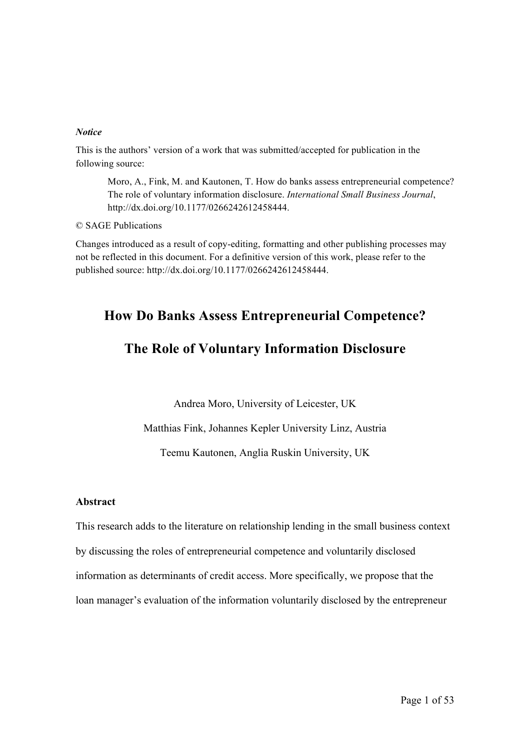#### *Notice*

This is the authors' version of a work that was submitted/accepted for publication in the following source:

Moro, A., Fink, M. and Kautonen, T. How do banks assess entrepreneurial competence? The role of voluntary information disclosure. *International Small Business Journal*, http://dx.doi.org/10.1177/0266242612458444.

© SAGE Publications

Changes introduced as a result of copy-editing, formatting and other publishing processes may not be reflected in this document. For a definitive version of this work, please refer to the published source: http://dx.doi.org/10.1177/0266242612458444.

# **How Do Banks Assess Entrepreneurial Competence?**

# **The Role of Voluntary Information Disclosure**

Andrea Moro, University of Leicester, UK

Matthias Fink, Johannes Kepler University Linz, Austria

Teemu Kautonen, Anglia Ruskin University, UK

### **Abstract**

This research adds to the literature on relationship lending in the small business context by discussing the roles of entrepreneurial competence and voluntarily disclosed information as determinants of credit access. More specifically, we propose that the loan manager's evaluation of the information voluntarily disclosed by the entrepreneur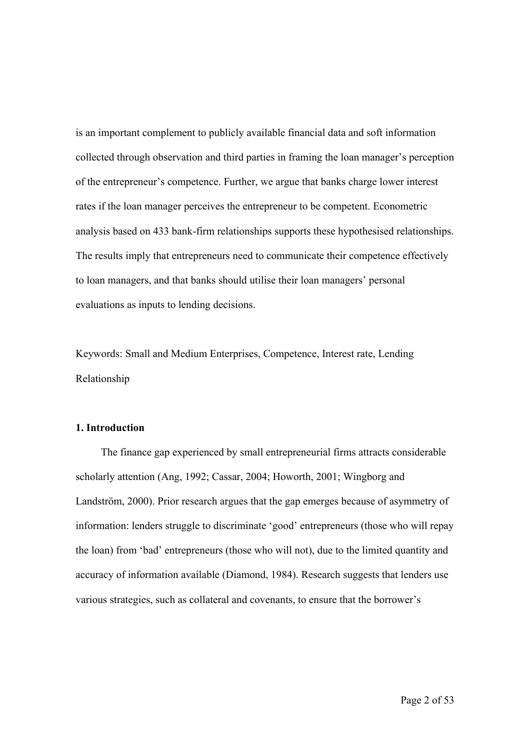is an important complement to publicly available financial data and soft information collected through observation and third parties in framing the loan manager's perception of the entrepreneur's competence. Further, we argue that banks charge lower interest rates if the loan manager perceives the entrepreneur to be competent. Econometric analysis based on 433 bank-firm relationships supports these hypothesised relationships. The results imply that entrepreneurs need to communicate their competence effectively to loan managers, and that banks should utilise their loan managers' personal evaluations as inputs to lending decisions.

Keywords: Small and Medium Enterprises, Competence, Interest rate, Lending Relationship

## **1. Introduction**

The finance gap experienced by small entrepreneurial firms attracts considerable scholarly attention (Ang, 1992; Cassar, 2004; Howorth, 2001; Wingborg and Landström, 2000). Prior research argues that the gap emerges because of asymmetry of information: lenders struggle to discriminate 'good' entrepreneurs (those who will repay the loan) from 'bad' entrepreneurs (those who will not), due to the limited quantity and accuracy of information available (Diamond, 1984). Research suggests that lenders use various strategies, such as collateral and covenants, to ensure that the borrower's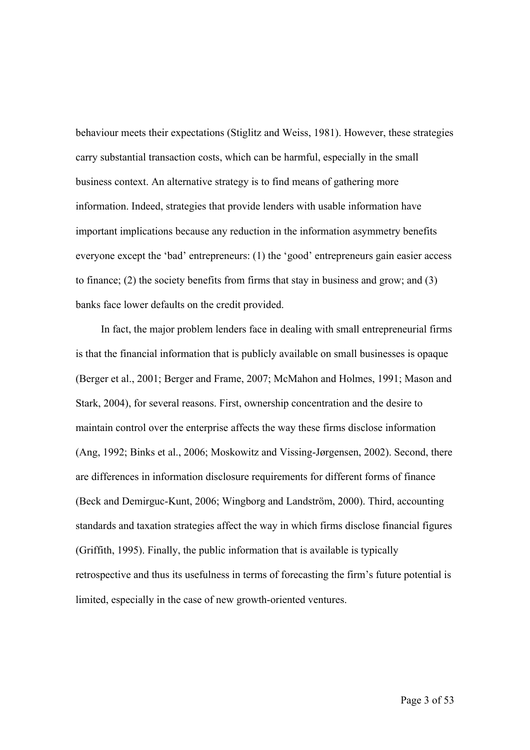behaviour meets their expectations (Stiglitz and Weiss, 1981). However, these strategies carry substantial transaction costs, which can be harmful, especially in the small business context. An alternative strategy is to find means of gathering more information. Indeed, strategies that provide lenders with usable information have important implications because any reduction in the information asymmetry benefits everyone except the 'bad' entrepreneurs: (1) the 'good' entrepreneurs gain easier access to finance; (2) the society benefits from firms that stay in business and grow; and (3) banks face lower defaults on the credit provided.

In fact, the major problem lenders face in dealing with small entrepreneurial firms is that the financial information that is publicly available on small businesses is opaque (Berger et al., 2001; Berger and Frame, 2007; McMahon and Holmes, 1991; Mason and Stark, 2004), for several reasons. First, ownership concentration and the desire to maintain control over the enterprise affects the way these firms disclose information (Ang, 1992; Binks et al., 2006; Moskowitz and Vissing-Jørgensen, 2002). Second, there are differences in information disclosure requirements for different forms of finance (Beck and Demirguc-Kunt, 2006; Wingborg and Landström, 2000). Third, accounting standards and taxation strategies affect the way in which firms disclose financial figures (Griffith, 1995). Finally, the public information that is available is typically retrospective and thus its usefulness in terms of forecasting the firm's future potential is limited, especially in the case of new growth-oriented ventures.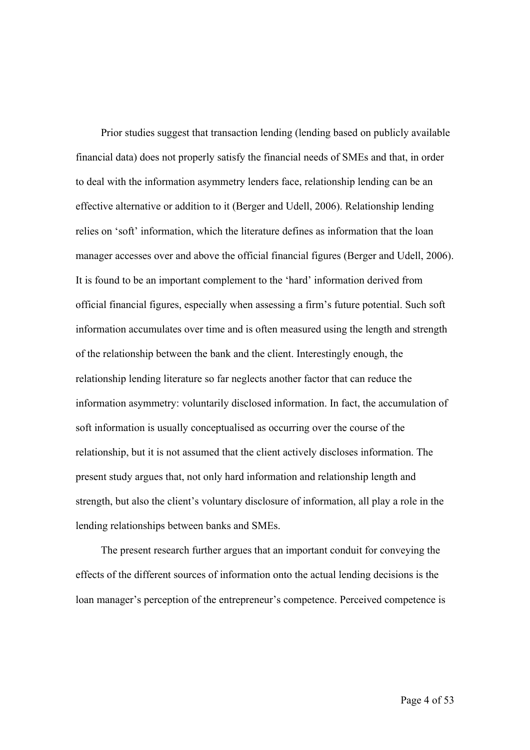Prior studies suggest that transaction lending (lending based on publicly available financial data) does not properly satisfy the financial needs of SMEs and that, in order to deal with the information asymmetry lenders face, relationship lending can be an effective alternative or addition to it (Berger and Udell, 2006). Relationship lending relies on 'soft' information, which the literature defines as information that the loan manager accesses over and above the official financial figures (Berger and Udell, 2006). It is found to be an important complement to the 'hard' information derived from official financial figures, especially when assessing a firm's future potential. Such soft information accumulates over time and is often measured using the length and strength of the relationship between the bank and the client. Interestingly enough, the relationship lending literature so far neglects another factor that can reduce the information asymmetry: voluntarily disclosed information. In fact, the accumulation of soft information is usually conceptualised as occurring over the course of the relationship, but it is not assumed that the client actively discloses information. The present study argues that, not only hard information and relationship length and strength, but also the client's voluntary disclosure of information, all play a role in the lending relationships between banks and SMEs.

The present research further argues that an important conduit for conveying the effects of the different sources of information onto the actual lending decisions is the loan manager's perception of the entrepreneur's competence. Perceived competence is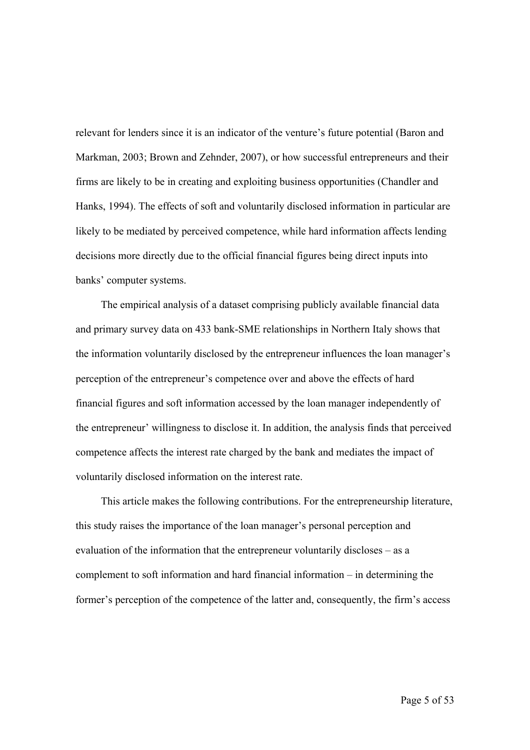relevant for lenders since it is an indicator of the venture's future potential (Baron and Markman, 2003; Brown and Zehnder, 2007), or how successful entrepreneurs and their firms are likely to be in creating and exploiting business opportunities (Chandler and Hanks, 1994). The effects of soft and voluntarily disclosed information in particular are likely to be mediated by perceived competence, while hard information affects lending decisions more directly due to the official financial figures being direct inputs into banks' computer systems.

The empirical analysis of a dataset comprising publicly available financial data and primary survey data on 433 bank-SME relationships in Northern Italy shows that the information voluntarily disclosed by the entrepreneur influences the loan manager's perception of the entrepreneur's competence over and above the effects of hard financial figures and soft information accessed by the loan manager independently of the entrepreneur' willingness to disclose it. In addition, the analysis finds that perceived competence affects the interest rate charged by the bank and mediates the impact of voluntarily disclosed information on the interest rate.

This article makes the following contributions. For the entrepreneurship literature, this study raises the importance of the loan manager's personal perception and evaluation of the information that the entrepreneur voluntarily discloses – as a complement to soft information and hard financial information – in determining the former's perception of the competence of the latter and, consequently, the firm's access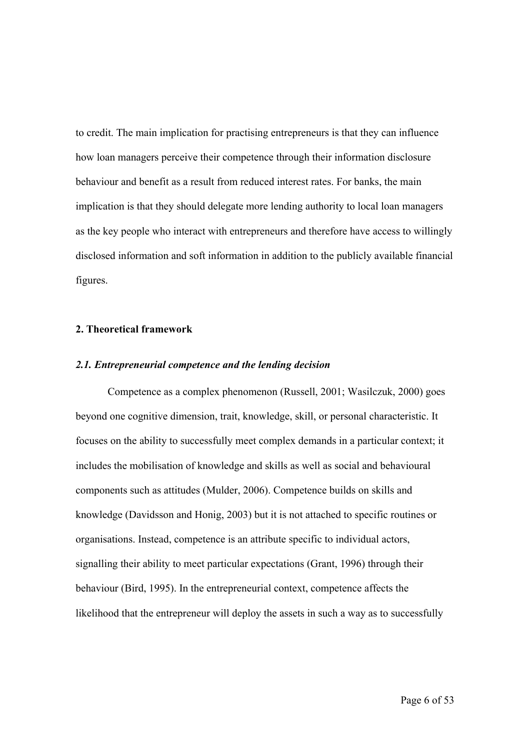to credit. The main implication for practising entrepreneurs is that they can influence how loan managers perceive their competence through their information disclosure behaviour and benefit as a result from reduced interest rates. For banks, the main implication is that they should delegate more lending authority to local loan managers as the key people who interact with entrepreneurs and therefore have access to willingly disclosed information and soft information in addition to the publicly available financial figures.

# **2. Theoretical framework**

#### *2.1. Entrepreneurial competence and the lending decision*

Competence as a complex phenomenon (Russell, 2001; Wasilczuk, 2000) goes beyond one cognitive dimension, trait, knowledge, skill, or personal characteristic. It focuses on the ability to successfully meet complex demands in a particular context; it includes the mobilisation of knowledge and skills as well as social and behavioural components such as attitudes (Mulder, 2006). Competence builds on skills and knowledge (Davidsson and Honig, 2003) but it is not attached to specific routines or organisations. Instead, competence is an attribute specific to individual actors, signalling their ability to meet particular expectations (Grant, 1996) through their behaviour (Bird, 1995). In the entrepreneurial context, competence affects the likelihood that the entrepreneur will deploy the assets in such a way as to successfully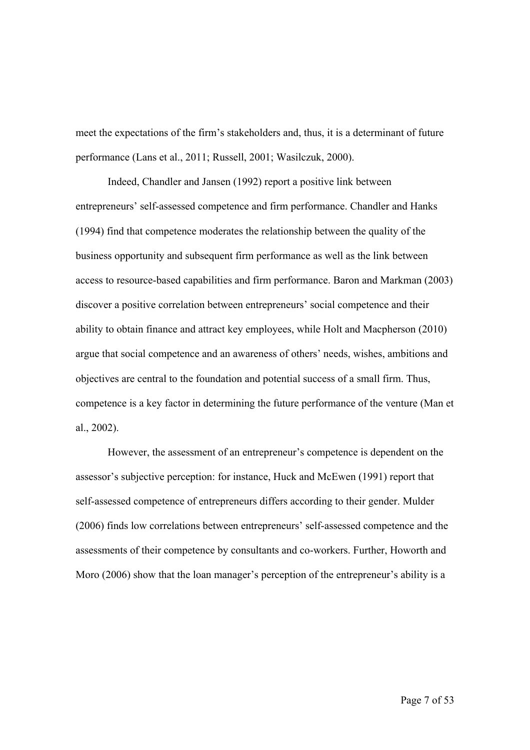meet the expectations of the firm's stakeholders and, thus, it is a determinant of future performance (Lans et al., 2011; Russell, 2001; Wasilczuk, 2000).

Indeed, Chandler and Jansen (1992) report a positive link between entrepreneurs' self-assessed competence and firm performance. Chandler and Hanks (1994) find that competence moderates the relationship between the quality of the business opportunity and subsequent firm performance as well as the link between access to resource-based capabilities and firm performance. Baron and Markman (2003) discover a positive correlation between entrepreneurs' social competence and their ability to obtain finance and attract key employees, while Holt and Macpherson (2010) argue that social competence and an awareness of others' needs, wishes, ambitions and objectives are central to the foundation and potential success of a small firm. Thus, competence is a key factor in determining the future performance of the venture (Man et al., 2002).

However, the assessment of an entrepreneur's competence is dependent on the assessor's subjective perception: for instance, Huck and McEwen (1991) report that self-assessed competence of entrepreneurs differs according to their gender. Mulder (2006) finds low correlations between entrepreneurs' self-assessed competence and the assessments of their competence by consultants and co-workers. Further, Howorth and Moro (2006) show that the loan manager's perception of the entrepreneur's ability is a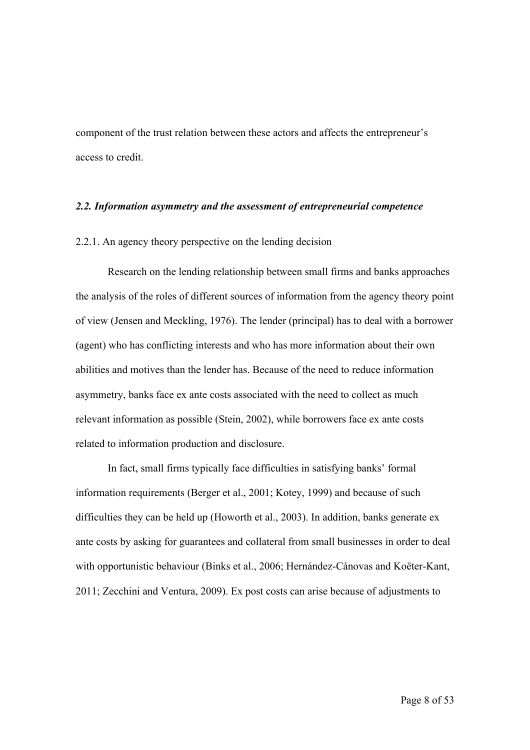component of the trust relation between these actors and affects the entrepreneur's access to credit.

#### *2.2. Information asymmetry and the assessment of entrepreneurial competence*

#### 2.2.1. An agency theory perspective on the lending decision

Research on the lending relationship between small firms and banks approaches the analysis of the roles of different sources of information from the agency theory point of view (Jensen and Meckling, 1976). The lender (principal) has to deal with a borrower (agent) who has conflicting interests and who has more information about their own abilities and motives than the lender has. Because of the need to reduce information asymmetry, banks face ex ante costs associated with the need to collect as much relevant information as possible (Stein, 2002), while borrowers face ex ante costs related to information production and disclosure.

In fact, small firms typically face difficulties in satisfying banks' formal information requirements (Berger et al., 2001; Kotey, 1999) and because of such difficulties they can be held up (Howorth et al., 2003). In addition, banks generate ex ante costs by asking for guarantees and collateral from small businesses in order to deal with opportunistic behaviour (Binks et al., 2006; Hernández-Cánovas and Koëter-Kant, 2011; Zecchini and Ventura, 2009). Ex post costs can arise because of adjustments to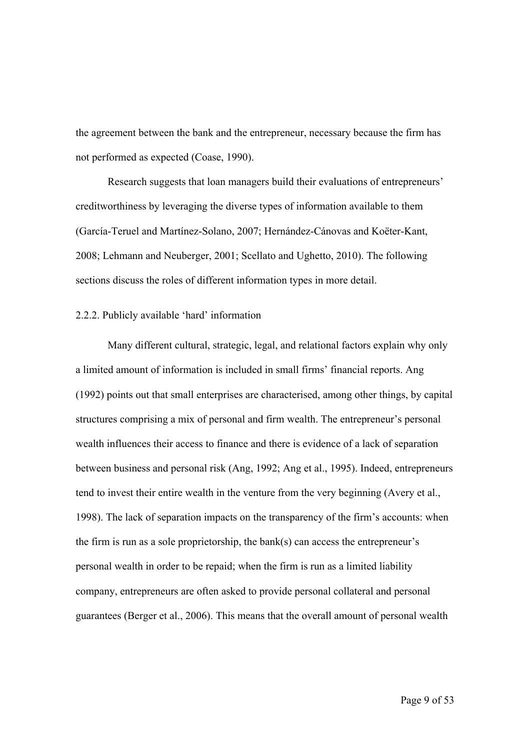the agreement between the bank and the entrepreneur, necessary because the firm has not performed as expected (Coase, 1990).

Research suggests that loan managers build their evaluations of entrepreneurs' creditworthiness by leveraging the diverse types of information available to them (García-Teruel and Martínez-Solano, 2007; Hernández-Cánovas and Koëter-Kant, 2008; Lehmann and Neuberger, 2001; Scellato and Ughetto, 2010). The following sections discuss the roles of different information types in more detail.

#### 2.2.2. Publicly available 'hard' information

Many different cultural, strategic, legal, and relational factors explain why only a limited amount of information is included in small firms' financial reports. Ang (1992) points out that small enterprises are characterised, among other things, by capital structures comprising a mix of personal and firm wealth. The entrepreneur's personal wealth influences their access to finance and there is evidence of a lack of separation between business and personal risk (Ang, 1992; Ang et al., 1995). Indeed, entrepreneurs tend to invest their entire wealth in the venture from the very beginning (Avery et al., 1998). The lack of separation impacts on the transparency of the firm's accounts: when the firm is run as a sole proprietorship, the bank(s) can access the entrepreneur's personal wealth in order to be repaid; when the firm is run as a limited liability company, entrepreneurs are often asked to provide personal collateral and personal guarantees (Berger et al., 2006). This means that the overall amount of personal wealth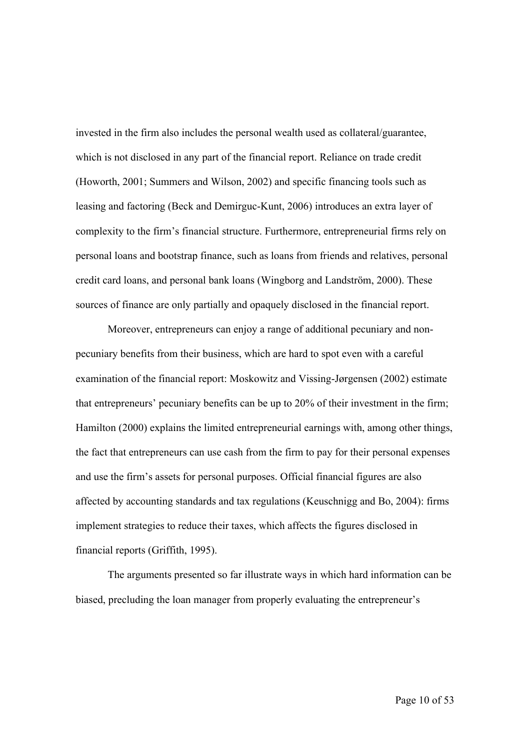invested in the firm also includes the personal wealth used as collateral/guarantee, which is not disclosed in any part of the financial report. Reliance on trade credit (Howorth, 2001; Summers and Wilson, 2002) and specific financing tools such as leasing and factoring (Beck and Demirguc-Kunt, 2006) introduces an extra layer of complexity to the firm's financial structure. Furthermore, entrepreneurial firms rely on personal loans and bootstrap finance, such as loans from friends and relatives, personal credit card loans, and personal bank loans (Wingborg and Landström, 2000). These sources of finance are only partially and opaquely disclosed in the financial report.

Moreover, entrepreneurs can enjoy a range of additional pecuniary and nonpecuniary benefits from their business, which are hard to spot even with a careful examination of the financial report: Moskowitz and Vissing-Jørgensen (2002) estimate that entrepreneurs' pecuniary benefits can be up to 20% of their investment in the firm; Hamilton (2000) explains the limited entrepreneurial earnings with, among other things, the fact that entrepreneurs can use cash from the firm to pay for their personal expenses and use the firm's assets for personal purposes. Official financial figures are also affected by accounting standards and tax regulations (Keuschnigg and Bo, 2004): firms implement strategies to reduce their taxes, which affects the figures disclosed in financial reports (Griffith, 1995).

The arguments presented so far illustrate ways in which hard information can be biased, precluding the loan manager from properly evaluating the entrepreneur's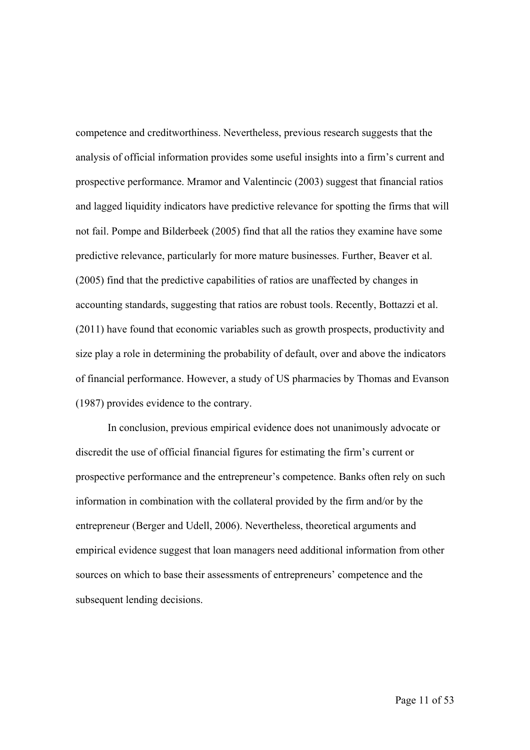competence and creditworthiness. Nevertheless, previous research suggests that the analysis of official information provides some useful insights into a firm's current and prospective performance. Mramor and Valentincic (2003) suggest that financial ratios and lagged liquidity indicators have predictive relevance for spotting the firms that will not fail. Pompe and Bilderbeek (2005) find that all the ratios they examine have some predictive relevance, particularly for more mature businesses. Further, Beaver et al. (2005) find that the predictive capabilities of ratios are unaffected by changes in accounting standards, suggesting that ratios are robust tools. Recently, Bottazzi et al. (2011) have found that economic variables such as growth prospects, productivity and size play a role in determining the probability of default, over and above the indicators of financial performance. However, a study of US pharmacies by Thomas and Evanson (1987) provides evidence to the contrary.

In conclusion, previous empirical evidence does not unanimously advocate or discredit the use of official financial figures for estimating the firm's current or prospective performance and the entrepreneur's competence. Banks often rely on such information in combination with the collateral provided by the firm and/or by the entrepreneur (Berger and Udell, 2006). Nevertheless, theoretical arguments and empirical evidence suggest that loan managers need additional information from other sources on which to base their assessments of entrepreneurs' competence and the subsequent lending decisions.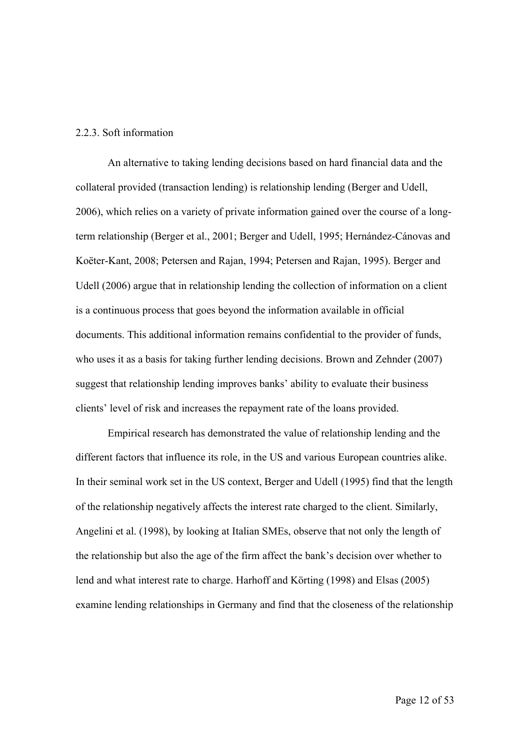### 2.2.3. Soft information

An alternative to taking lending decisions based on hard financial data and the collateral provided (transaction lending) is relationship lending (Berger and Udell, 2006), which relies on a variety of private information gained over the course of a longterm relationship (Berger et al., 2001; Berger and Udell, 1995; Hernández-Cánovas and Koëter-Kant, 2008; Petersen and Rajan, 1994; Petersen and Rajan, 1995). Berger and Udell (2006) argue that in relationship lending the collection of information on a client is a continuous process that goes beyond the information available in official documents. This additional information remains confidential to the provider of funds, who uses it as a basis for taking further lending decisions. Brown and Zehnder (2007) suggest that relationship lending improves banks' ability to evaluate their business clients' level of risk and increases the repayment rate of the loans provided.

Empirical research has demonstrated the value of relationship lending and the different factors that influence its role, in the US and various European countries alike. In their seminal work set in the US context, Berger and Udell (1995) find that the length of the relationship negatively affects the interest rate charged to the client. Similarly, Angelini et al. (1998), by looking at Italian SMEs, observe that not only the length of the relationship but also the age of the firm affect the bank's decision over whether to lend and what interest rate to charge. Harhoff and Körting (1998) and Elsas (2005) examine lending relationships in Germany and find that the closeness of the relationship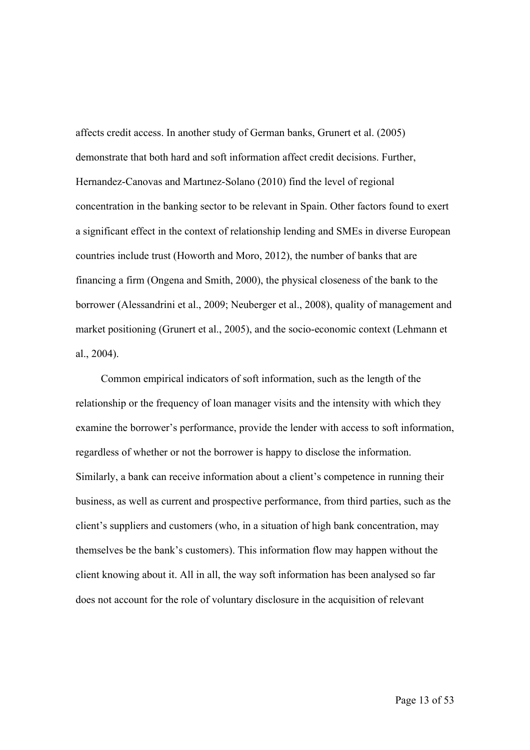affects credit access. In another study of German banks, Grunert et al. (2005) demonstrate that both hard and soft information affect credit decisions. Further, Hernandez-Canovas and Martınez-Solano (2010) find the level of regional concentration in the banking sector to be relevant in Spain. Other factors found to exert a significant effect in the context of relationship lending and SMEs in diverse European countries include trust (Howorth and Moro, 2012), the number of banks that are financing a firm (Ongena and Smith, 2000), the physical closeness of the bank to the borrower (Alessandrini et al., 2009; Neuberger et al., 2008), quality of management and market positioning (Grunert et al., 2005), and the socio-economic context (Lehmann et al., 2004).

Common empirical indicators of soft information, such as the length of the relationship or the frequency of loan manager visits and the intensity with which they examine the borrower's performance, provide the lender with access to soft information, regardless of whether or not the borrower is happy to disclose the information. Similarly, a bank can receive information about a client's competence in running their business, as well as current and prospective performance, from third parties, such as the client's suppliers and customers (who, in a situation of high bank concentration, may themselves be the bank's customers). This information flow may happen without the client knowing about it. All in all, the way soft information has been analysed so far does not account for the role of voluntary disclosure in the acquisition of relevant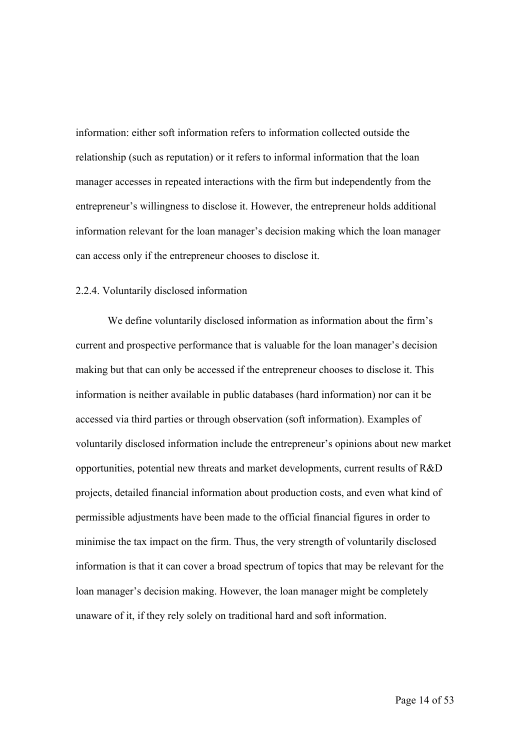information: either soft information refers to information collected outside the relationship (such as reputation) or it refers to informal information that the loan manager accesses in repeated interactions with the firm but independently from the entrepreneur's willingness to disclose it. However, the entrepreneur holds additional information relevant for the loan manager's decision making which the loan manager can access only if the entrepreneur chooses to disclose it.

# 2.2.4. Voluntarily disclosed information

We define voluntarily disclosed information as information about the firm's current and prospective performance that is valuable for the loan manager's decision making but that can only be accessed if the entrepreneur chooses to disclose it. This information is neither available in public databases (hard information) nor can it be accessed via third parties or through observation (soft information). Examples of voluntarily disclosed information include the entrepreneur's opinions about new market opportunities, potential new threats and market developments, current results of R&D projects, detailed financial information about production costs, and even what kind of permissible adjustments have been made to the official financial figures in order to minimise the tax impact on the firm. Thus, the very strength of voluntarily disclosed information is that it can cover a broad spectrum of topics that may be relevant for the loan manager's decision making. However, the loan manager might be completely unaware of it, if they rely solely on traditional hard and soft information.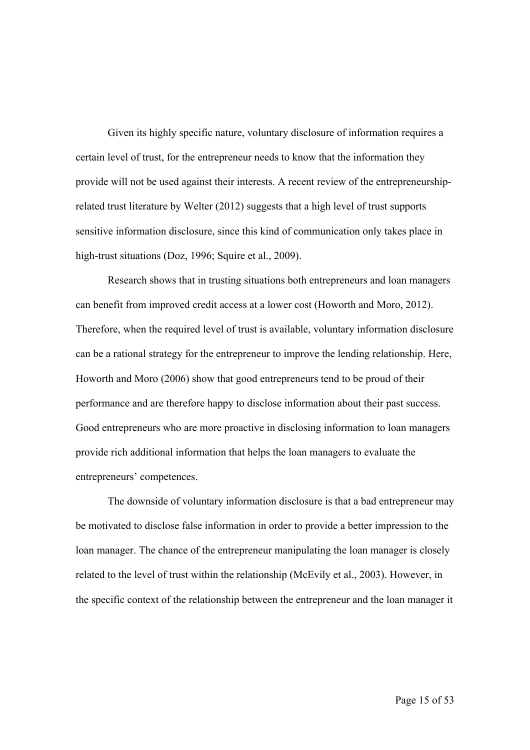Given its highly specific nature, voluntary disclosure of information requires a certain level of trust, for the entrepreneur needs to know that the information they provide will not be used against their interests. A recent review of the entrepreneurshiprelated trust literature by Welter (2012) suggests that a high level of trust supports sensitive information disclosure, since this kind of communication only takes place in high-trust situations (Doz, 1996; Squire et al., 2009).

Research shows that in trusting situations both entrepreneurs and loan managers can benefit from improved credit access at a lower cost (Howorth and Moro, 2012). Therefore, when the required level of trust is available, voluntary information disclosure can be a rational strategy for the entrepreneur to improve the lending relationship. Here, Howorth and Moro (2006) show that good entrepreneurs tend to be proud of their performance and are therefore happy to disclose information about their past success. Good entrepreneurs who are more proactive in disclosing information to loan managers provide rich additional information that helps the loan managers to evaluate the entrepreneurs' competences.

The downside of voluntary information disclosure is that a bad entrepreneur may be motivated to disclose false information in order to provide a better impression to the loan manager. The chance of the entrepreneur manipulating the loan manager is closely related to the level of trust within the relationship (McEvily et al., 2003). However, in the specific context of the relationship between the entrepreneur and the loan manager it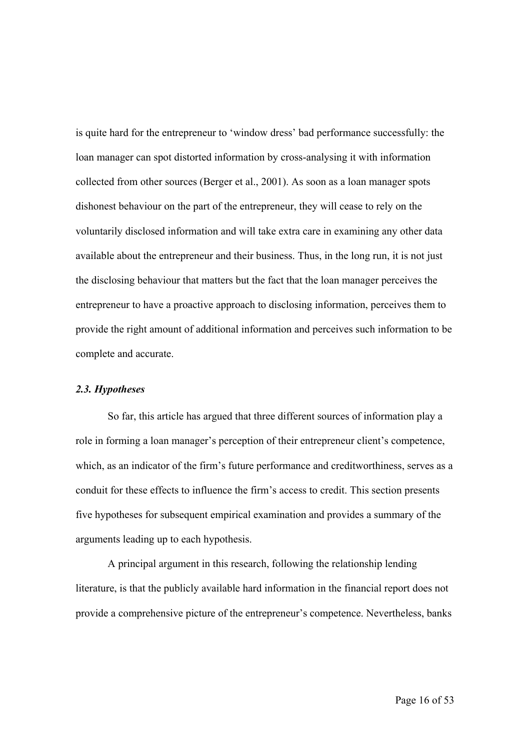is quite hard for the entrepreneur to 'window dress' bad performance successfully: the loan manager can spot distorted information by cross-analysing it with information collected from other sources (Berger et al., 2001). As soon as a loan manager spots dishonest behaviour on the part of the entrepreneur, they will cease to rely on the voluntarily disclosed information and will take extra care in examining any other data available about the entrepreneur and their business. Thus, in the long run, it is not just the disclosing behaviour that matters but the fact that the loan manager perceives the entrepreneur to have a proactive approach to disclosing information, perceives them to provide the right amount of additional information and perceives such information to be complete and accurate.

### *2.3. Hypotheses*

So far, this article has argued that three different sources of information play a role in forming a loan manager's perception of their entrepreneur client's competence, which, as an indicator of the firm's future performance and creditworthiness, serves as a conduit for these effects to influence the firm's access to credit. This section presents five hypotheses for subsequent empirical examination and provides a summary of the arguments leading up to each hypothesis.

A principal argument in this research, following the relationship lending literature, is that the publicly available hard information in the financial report does not provide a comprehensive picture of the entrepreneur's competence. Nevertheless, banks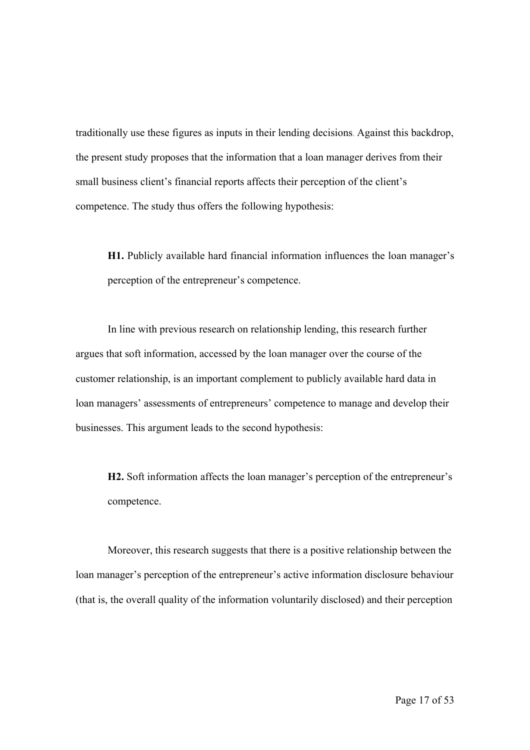traditionally use these figures as inputs in their lending decisions. Against this backdrop, the present study proposes that the information that a loan manager derives from their small business client's financial reports affects their perception of the client's competence. The study thus offers the following hypothesis:

**H1.** Publicly available hard financial information influences the loan manager's perception of the entrepreneur's competence.

In line with previous research on relationship lending, this research further argues that soft information, accessed by the loan manager over the course of the customer relationship, is an important complement to publicly available hard data in loan managers' assessments of entrepreneurs' competence to manage and develop their businesses. This argument leads to the second hypothesis:

**H2.** Soft information affects the loan manager's perception of the entrepreneur's competence.

Moreover, this research suggests that there is a positive relationship between the loan manager's perception of the entrepreneur's active information disclosure behaviour (that is, the overall quality of the information voluntarily disclosed) and their perception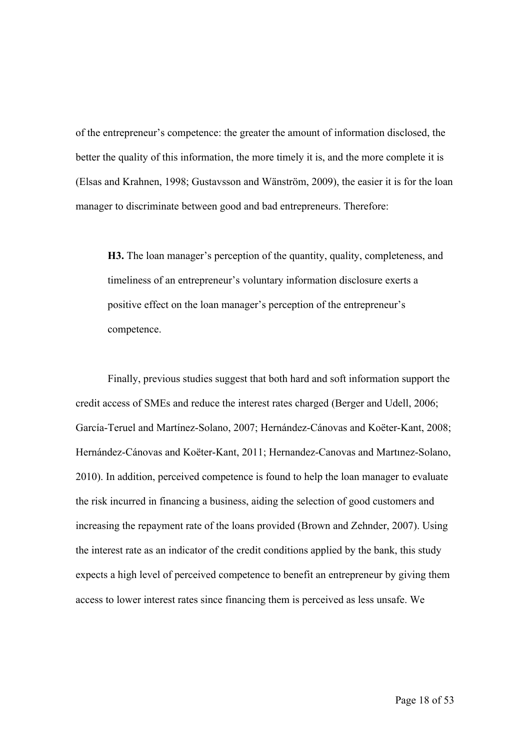of the entrepreneur's competence: the greater the amount of information disclosed, the better the quality of this information, the more timely it is, and the more complete it is (Elsas and Krahnen, 1998; Gustavsson and Wänström, 2009), the easier it is for the loan manager to discriminate between good and bad entrepreneurs. Therefore:

**H3.** The loan manager's perception of the quantity, quality, completeness, and timeliness of an entrepreneur's voluntary information disclosure exerts a positive effect on the loan manager's perception of the entrepreneur's competence.

Finally, previous studies suggest that both hard and soft information support the credit access of SMEs and reduce the interest rates charged (Berger and Udell, 2006; García-Teruel and Martínez-Solano, 2007; Hernández-Cánovas and Koëter-Kant, 2008; Hernández-Cánovas and Koëter-Kant, 2011; Hernandez-Canovas and Martınez-Solano, 2010). In addition, perceived competence is found to help the loan manager to evaluate the risk incurred in financing a business, aiding the selection of good customers and increasing the repayment rate of the loans provided (Brown and Zehnder, 2007). Using the interest rate as an indicator of the credit conditions applied by the bank, this study expects a high level of perceived competence to benefit an entrepreneur by giving them access to lower interest rates since financing them is perceived as less unsafe. We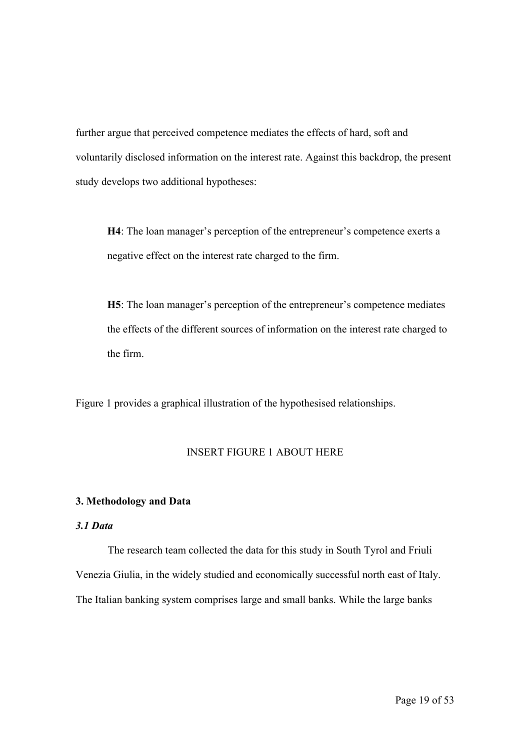further argue that perceived competence mediates the effects of hard, soft and voluntarily disclosed information on the interest rate. Against this backdrop, the present study develops two additional hypotheses:

**H4**: The loan manager's perception of the entrepreneur's competence exerts a negative effect on the interest rate charged to the firm.

**H5**: The loan manager's perception of the entrepreneur's competence mediates the effects of the different sources of information on the interest rate charged to the firm.

Figure 1 provides a graphical illustration of the hypothesised relationships.

### INSERT FIGURE 1 ABOUT HERE

# **3. Methodology and Data**

## *3.1 Data*

The research team collected the data for this study in South Tyrol and Friuli Venezia Giulia, in the widely studied and economically successful north east of Italy. The Italian banking system comprises large and small banks. While the large banks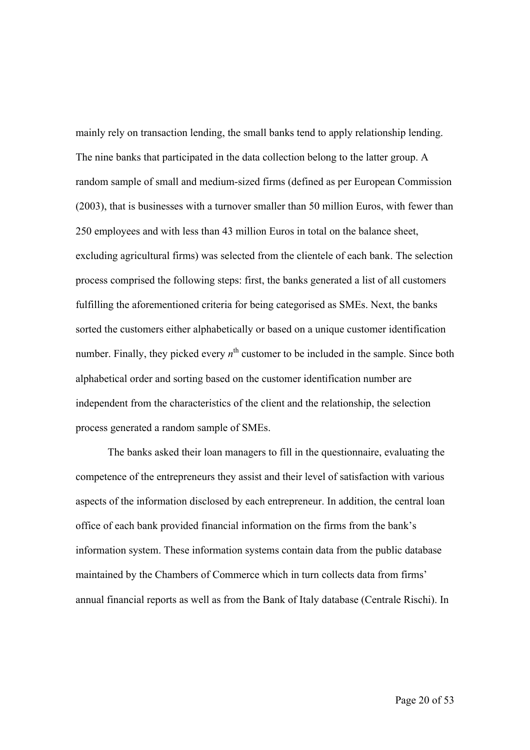mainly rely on transaction lending, the small banks tend to apply relationship lending. The nine banks that participated in the data collection belong to the latter group. A random sample of small and medium-sized firms (defined as per European Commission (2003), that is businesses with a turnover smaller than 50 million Euros, with fewer than 250 employees and with less than 43 million Euros in total on the balance sheet, excluding agricultural firms) was selected from the clientele of each bank. The selection process comprised the following steps: first, the banks generated a list of all customers fulfilling the aforementioned criteria for being categorised as SMEs. Next, the banks sorted the customers either alphabetically or based on a unique customer identification number. Finally, they picked every  $n<sup>th</sup>$  customer to be included in the sample. Since both alphabetical order and sorting based on the customer identification number are independent from the characteristics of the client and the relationship, the selection process generated a random sample of SMEs.

The banks asked their loan managers to fill in the questionnaire, evaluating the competence of the entrepreneurs they assist and their level of satisfaction with various aspects of the information disclosed by each entrepreneur. In addition, the central loan office of each bank provided financial information on the firms from the bank's information system. These information systems contain data from the public database maintained by the Chambers of Commerce which in turn collects data from firms' annual financial reports as well as from the Bank of Italy database (Centrale Rischi). In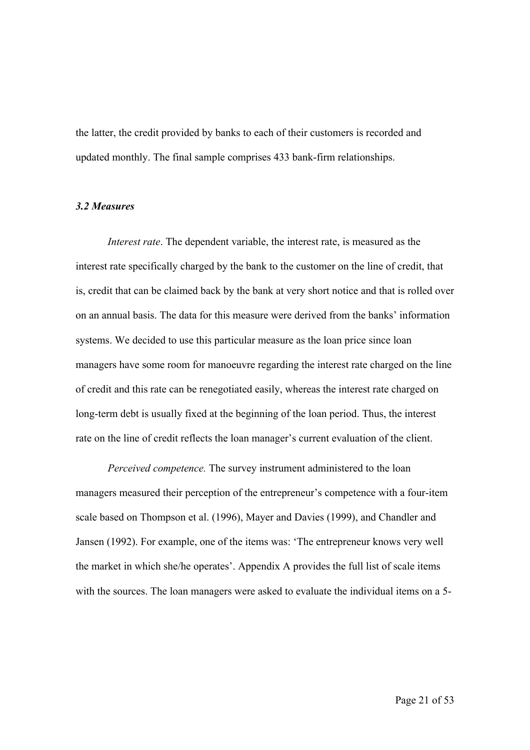the latter, the credit provided by banks to each of their customers is recorded and updated monthly. The final sample comprises 433 bank-firm relationships.

#### *3.2 Measures*

*Interest rate*. The dependent variable, the interest rate, is measured as the interest rate specifically charged by the bank to the customer on the line of credit, that is, credit that can be claimed back by the bank at very short notice and that is rolled over on an annual basis. The data for this measure were derived from the banks' information systems. We decided to use this particular measure as the loan price since loan managers have some room for manoeuvre regarding the interest rate charged on the line of credit and this rate can be renegotiated easily, whereas the interest rate charged on long-term debt is usually fixed at the beginning of the loan period. Thus, the interest rate on the line of credit reflects the loan manager's current evaluation of the client.

*Perceived competence.* The survey instrument administered to the loan managers measured their perception of the entrepreneur's competence with a four-item scale based on Thompson et al. (1996), Mayer and Davies (1999), and Chandler and Jansen (1992). For example, one of the items was: 'The entrepreneur knows very well the market in which she/he operates'. Appendix A provides the full list of scale items with the sources. The loan managers were asked to evaluate the individual items on a 5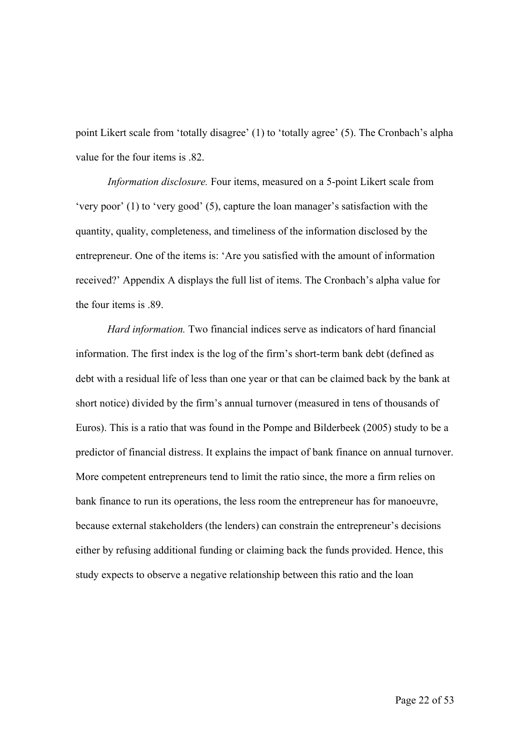point Likert scale from 'totally disagree' (1) to 'totally agree' (5). The Cronbach's alpha value for the four items is .82.

*Information disclosure.* Four items, measured on a 5-point Likert scale from 'very poor' (1) to 'very good' (5), capture the loan manager's satisfaction with the quantity, quality, completeness, and timeliness of the information disclosed by the entrepreneur. One of the items is: 'Are you satisfied with the amount of information received?' Appendix A displays the full list of items. The Cronbach's alpha value for the four items is .89.

*Hard information.* Two financial indices serve as indicators of hard financial information. The first index is the log of the firm's short-term bank debt (defined as debt with a residual life of less than one year or that can be claimed back by the bank at short notice) divided by the firm's annual turnover (measured in tens of thousands of Euros). This is a ratio that was found in the Pompe and Bilderbeek (2005) study to be a predictor of financial distress. It explains the impact of bank finance on annual turnover. More competent entrepreneurs tend to limit the ratio since, the more a firm relies on bank finance to run its operations, the less room the entrepreneur has for manoeuvre, because external stakeholders (the lenders) can constrain the entrepreneur's decisions either by refusing additional funding or claiming back the funds provided. Hence, this study expects to observe a negative relationship between this ratio and the loan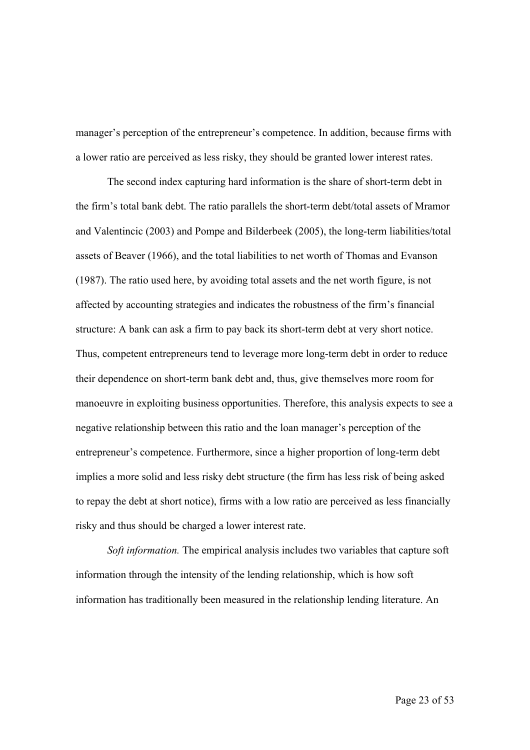manager's perception of the entrepreneur's competence. In addition, because firms with a lower ratio are perceived as less risky, they should be granted lower interest rates.

The second index capturing hard information is the share of short-term debt in the firm's total bank debt. The ratio parallels the short-term debt/total assets of Mramor and Valentincic (2003) and Pompe and Bilderbeek (2005), the long-term liabilities/total assets of Beaver (1966), and the total liabilities to net worth of Thomas and Evanson (1987). The ratio used here, by avoiding total assets and the net worth figure, is not affected by accounting strategies and indicates the robustness of the firm's financial structure: A bank can ask a firm to pay back its short-term debt at very short notice. Thus, competent entrepreneurs tend to leverage more long-term debt in order to reduce their dependence on short-term bank debt and, thus, give themselves more room for manoeuvre in exploiting business opportunities. Therefore, this analysis expects to see a negative relationship between this ratio and the loan manager's perception of the entrepreneur's competence. Furthermore, since a higher proportion of long-term debt implies a more solid and less risky debt structure (the firm has less risk of being asked to repay the debt at short notice), firms with a low ratio are perceived as less financially risky and thus should be charged a lower interest rate.

*Soft information.* The empirical analysis includes two variables that capture soft information through the intensity of the lending relationship, which is how soft information has traditionally been measured in the relationship lending literature. An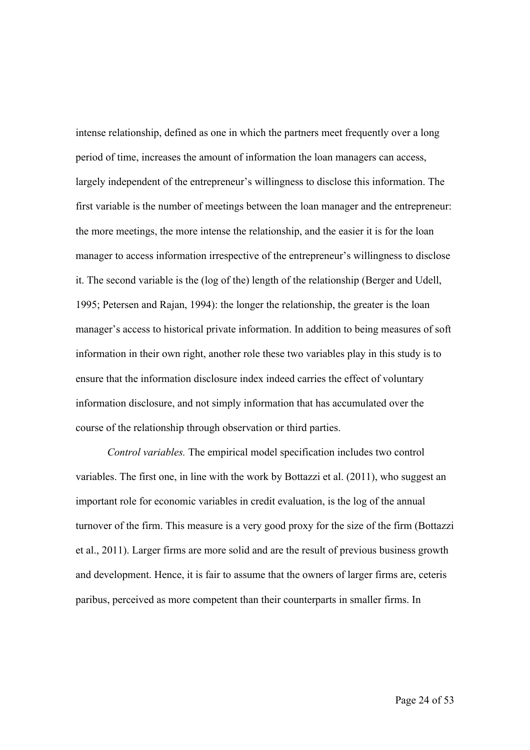intense relationship, defined as one in which the partners meet frequently over a long period of time, increases the amount of information the loan managers can access, largely independent of the entrepreneur's willingness to disclose this information. The first variable is the number of meetings between the loan manager and the entrepreneur: the more meetings, the more intense the relationship, and the easier it is for the loan manager to access information irrespective of the entrepreneur's willingness to disclose it. The second variable is the (log of the) length of the relationship (Berger and Udell, 1995; Petersen and Rajan, 1994): the longer the relationship, the greater is the loan manager's access to historical private information. In addition to being measures of soft information in their own right, another role these two variables play in this study is to ensure that the information disclosure index indeed carries the effect of voluntary information disclosure, and not simply information that has accumulated over the course of the relationship through observation or third parties.

*Control variables.* The empirical model specification includes two control variables. The first one, in line with the work by Bottazzi et al. (2011), who suggest an important role for economic variables in credit evaluation, is the log of the annual turnover of the firm. This measure is a very good proxy for the size of the firm (Bottazzi et al., 2011). Larger firms are more solid and are the result of previous business growth and development. Hence, it is fair to assume that the owners of larger firms are, ceteris paribus, perceived as more competent than their counterparts in smaller firms. In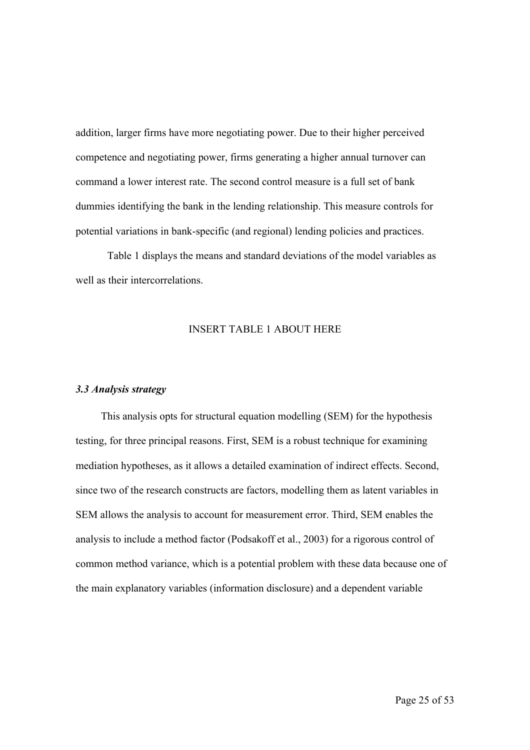addition, larger firms have more negotiating power. Due to their higher perceived competence and negotiating power, firms generating a higher annual turnover can command a lower interest rate. The second control measure is a full set of bank dummies identifying the bank in the lending relationship. This measure controls for potential variations in bank-specific (and regional) lending policies and practices.

Table 1 displays the means and standard deviations of the model variables as well as their intercorrelations.

# INSERT TABLE 1 ABOUT HERE

#### *3.3 Analysis strategy*

This analysis opts for structural equation modelling (SEM) for the hypothesis testing, for three principal reasons. First, SEM is a robust technique for examining mediation hypotheses, as it allows a detailed examination of indirect effects. Second, since two of the research constructs are factors, modelling them as latent variables in SEM allows the analysis to account for measurement error. Third, SEM enables the analysis to include a method factor (Podsakoff et al., 2003) for a rigorous control of common method variance, which is a potential problem with these data because one of the main explanatory variables (information disclosure) and a dependent variable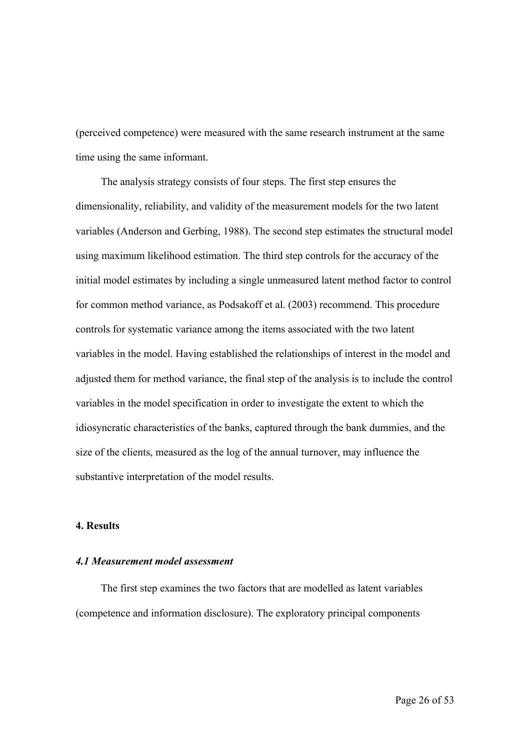(perceived competence) were measured with the same research instrument at the same time using the same informant.

The analysis strategy consists of four steps. The first step ensures the dimensionality, reliability, and validity of the measurement models for the two latent variables (Anderson and Gerbing, 1988). The second step estimates the structural model using maximum likelihood estimation. The third step controls for the accuracy of the initial model estimates by including a single unmeasured latent method factor to control for common method variance, as Podsakoff et al. (2003) recommend. This procedure controls for systematic variance among the items associated with the two latent variables in the model. Having established the relationships of interest in the model and adjusted them for method variance, the final step of the analysis is to include the control variables in the model specification in order to investigate the extent to which the idiosyncratic characteristics of the banks, captured through the bank dummies, and the size of the clients, measured as the log of the annual turnover, may influence the substantive interpretation of the model results.

## **4. Results**

# *4.1 Measurement model assessment*

The first step examines the two factors that are modelled as latent variables (competence and information disclosure). The exploratory principal components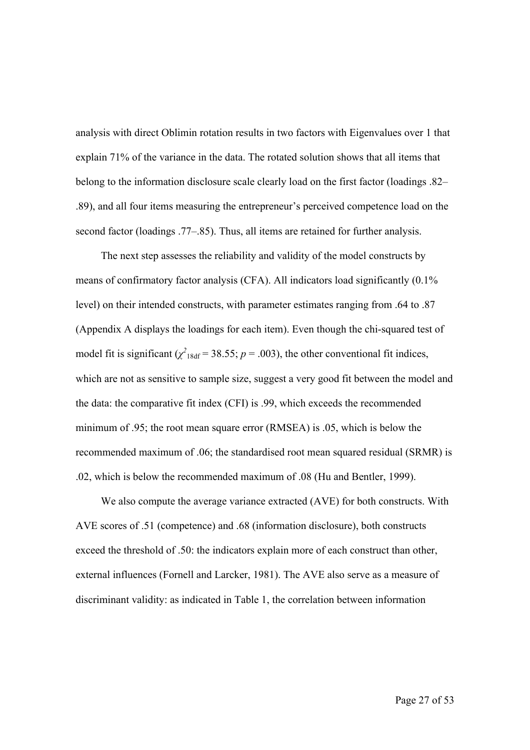analysis with direct Oblimin rotation results in two factors with Eigenvalues over 1 that explain 71% of the variance in the data. The rotated solution shows that all items that belong to the information disclosure scale clearly load on the first factor (loadings .82– .89), and all four items measuring the entrepreneur's perceived competence load on the second factor (loadings .77–.85). Thus, all items are retained for further analysis.

The next step assesses the reliability and validity of the model constructs by means of confirmatory factor analysis (CFA). All indicators load significantly (0.1% level) on their intended constructs, with parameter estimates ranging from .64 to .87 (Appendix A displays the loadings for each item). Even though the chi-squared test of model fit is significant  $(\chi^2_{18df} = 38.55; p = .003)$ , the other conventional fit indices, which are not as sensitive to sample size, suggest a very good fit between the model and the data: the comparative fit index (CFI) is .99, which exceeds the recommended minimum of .95; the root mean square error (RMSEA) is .05, which is below the recommended maximum of .06; the standardised root mean squared residual (SRMR) is .02, which is below the recommended maximum of .08 (Hu and Bentler, 1999).

We also compute the average variance extracted (AVE) for both constructs. With AVE scores of .51 (competence) and .68 (information disclosure), both constructs exceed the threshold of .50: the indicators explain more of each construct than other, external influences (Fornell and Larcker, 1981). The AVE also serve as a measure of discriminant validity: as indicated in Table 1, the correlation between information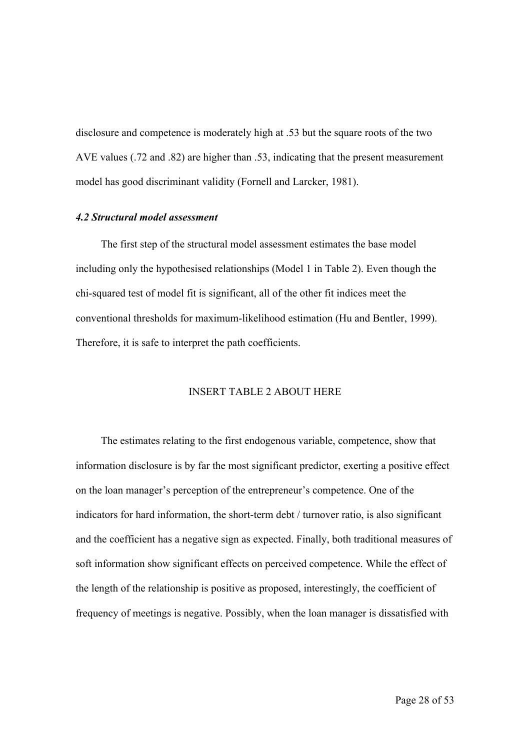disclosure and competence is moderately high at .53 but the square roots of the two AVE values (.72 and .82) are higher than .53, indicating that the present measurement model has good discriminant validity (Fornell and Larcker, 1981).

### *4.2 Structural model assessment*

The first step of the structural model assessment estimates the base model including only the hypothesised relationships (Model 1 in Table 2). Even though the chi-squared test of model fit is significant, all of the other fit indices meet the conventional thresholds for maximum-likelihood estimation (Hu and Bentler, 1999). Therefore, it is safe to interpret the path coefficients.

# INSERT TABLE 2 ABOUT HERE

The estimates relating to the first endogenous variable, competence, show that information disclosure is by far the most significant predictor, exerting a positive effect on the loan manager's perception of the entrepreneur's competence. One of the indicators for hard information, the short-term debt / turnover ratio, is also significant and the coefficient has a negative sign as expected. Finally, both traditional measures of soft information show significant effects on perceived competence. While the effect of the length of the relationship is positive as proposed, interestingly, the coefficient of frequency of meetings is negative. Possibly, when the loan manager is dissatisfied with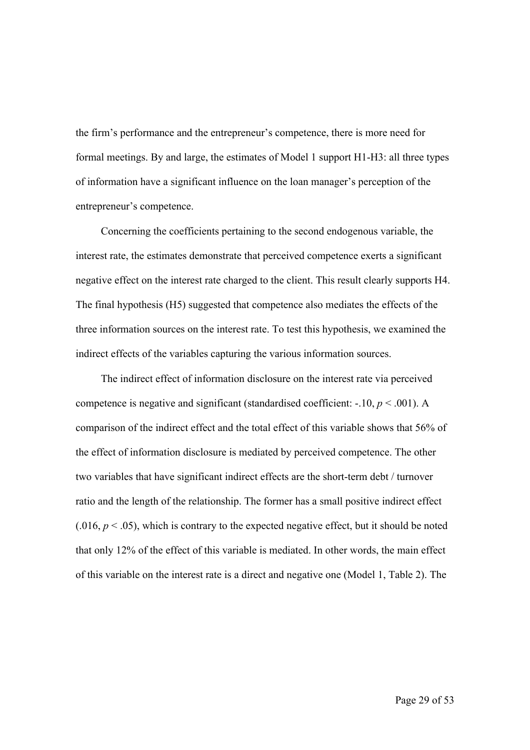the firm's performance and the entrepreneur's competence, there is more need for formal meetings. By and large, the estimates of Model 1 support H1-H3: all three types of information have a significant influence on the loan manager's perception of the entrepreneur's competence.

Concerning the coefficients pertaining to the second endogenous variable, the interest rate, the estimates demonstrate that perceived competence exerts a significant negative effect on the interest rate charged to the client. This result clearly supports H4. The final hypothesis (H5) suggested that competence also mediates the effects of the three information sources on the interest rate. To test this hypothesis, we examined the indirect effects of the variables capturing the various information sources.

The indirect effect of information disclosure on the interest rate via perceived competence is negative and significant (standardised coefficient:  $-10, p < .001$ ). A comparison of the indirect effect and the total effect of this variable shows that 56% of the effect of information disclosure is mediated by perceived competence. The other two variables that have significant indirect effects are the short-term debt / turnover ratio and the length of the relationship. The former has a small positive indirect effect  $(0.016, p < 0.05)$ , which is contrary to the expected negative effect, but it should be noted that only 12% of the effect of this variable is mediated. In other words, the main effect of this variable on the interest rate is a direct and negative one (Model 1, Table 2). The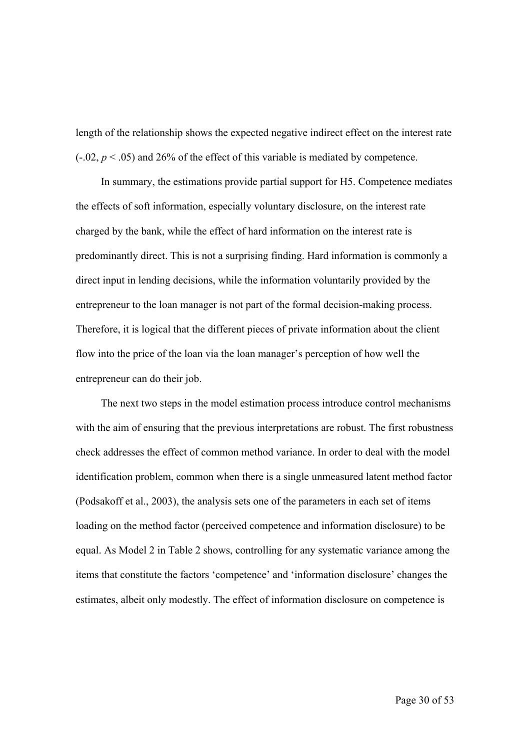length of the relationship shows the expected negative indirect effect on the interest rate  $(-.02, p < .05)$  and 26% of the effect of this variable is mediated by competence.

In summary, the estimations provide partial support for H5. Competence mediates the effects of soft information, especially voluntary disclosure, on the interest rate charged by the bank, while the effect of hard information on the interest rate is predominantly direct. This is not a surprising finding. Hard information is commonly a direct input in lending decisions, while the information voluntarily provided by the entrepreneur to the loan manager is not part of the formal decision-making process. Therefore, it is logical that the different pieces of private information about the client flow into the price of the loan via the loan manager's perception of how well the entrepreneur can do their job.

The next two steps in the model estimation process introduce control mechanisms with the aim of ensuring that the previous interpretations are robust. The first robustness check addresses the effect of common method variance. In order to deal with the model identification problem, common when there is a single unmeasured latent method factor (Podsakoff et al., 2003), the analysis sets one of the parameters in each set of items loading on the method factor (perceived competence and information disclosure) to be equal. As Model 2 in Table 2 shows, controlling for any systematic variance among the items that constitute the factors 'competence' and 'information disclosure' changes the estimates, albeit only modestly. The effect of information disclosure on competence is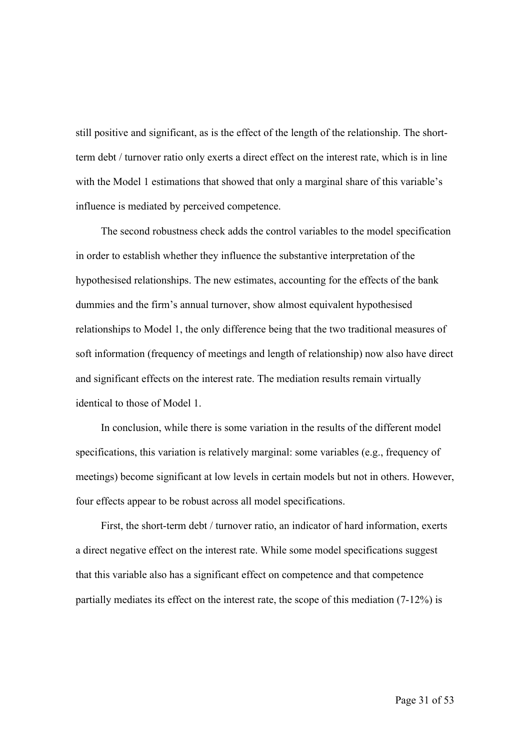still positive and significant, as is the effect of the length of the relationship. The shortterm debt / turnover ratio only exerts a direct effect on the interest rate, which is in line with the Model 1 estimations that showed that only a marginal share of this variable's influence is mediated by perceived competence.

The second robustness check adds the control variables to the model specification in order to establish whether they influence the substantive interpretation of the hypothesised relationships. The new estimates, accounting for the effects of the bank dummies and the firm's annual turnover, show almost equivalent hypothesised relationships to Model 1, the only difference being that the two traditional measures of soft information (frequency of meetings and length of relationship) now also have direct and significant effects on the interest rate. The mediation results remain virtually identical to those of Model 1.

In conclusion, while there is some variation in the results of the different model specifications, this variation is relatively marginal: some variables (e.g., frequency of meetings) become significant at low levels in certain models but not in others. However, four effects appear to be robust across all model specifications.

First, the short-term debt / turnover ratio, an indicator of hard information, exerts a direct negative effect on the interest rate. While some model specifications suggest that this variable also has a significant effect on competence and that competence partially mediates its effect on the interest rate, the scope of this mediation (7-12%) is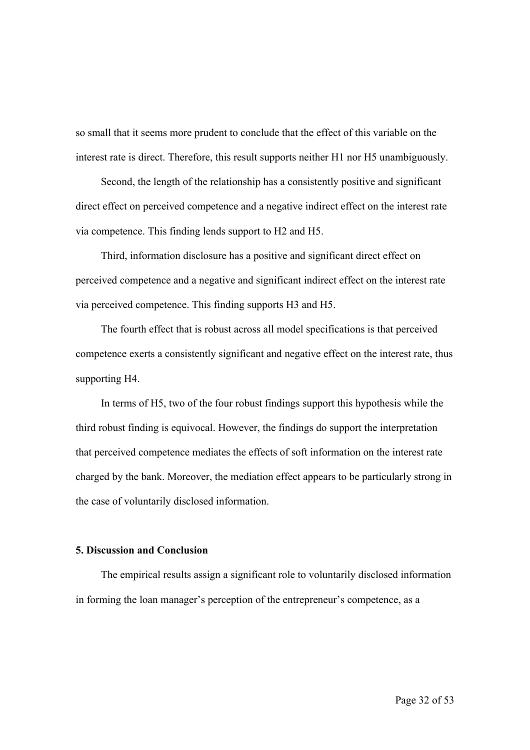so small that it seems more prudent to conclude that the effect of this variable on the interest rate is direct. Therefore, this result supports neither H1 nor H5 unambiguously.

Second, the length of the relationship has a consistently positive and significant direct effect on perceived competence and a negative indirect effect on the interest rate via competence. This finding lends support to H2 and H5.

Third, information disclosure has a positive and significant direct effect on perceived competence and a negative and significant indirect effect on the interest rate via perceived competence. This finding supports H3 and H5.

The fourth effect that is robust across all model specifications is that perceived competence exerts a consistently significant and negative effect on the interest rate, thus supporting H4.

In terms of H5, two of the four robust findings support this hypothesis while the third robust finding is equivocal. However, the findings do support the interpretation that perceived competence mediates the effects of soft information on the interest rate charged by the bank. Moreover, the mediation effect appears to be particularly strong in the case of voluntarily disclosed information.

# **5. Discussion and Conclusion**

The empirical results assign a significant role to voluntarily disclosed information in forming the loan manager's perception of the entrepreneur's competence, as a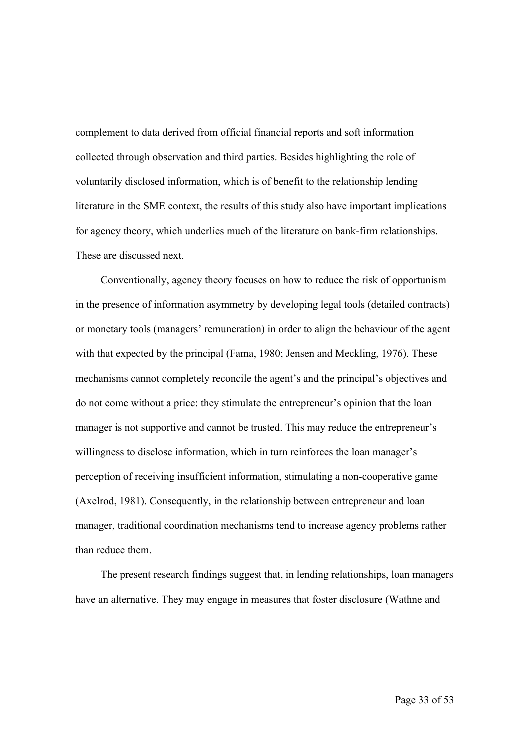complement to data derived from official financial reports and soft information collected through observation and third parties. Besides highlighting the role of voluntarily disclosed information, which is of benefit to the relationship lending literature in the SME context, the results of this study also have important implications for agency theory, which underlies much of the literature on bank-firm relationships. These are discussed next.

Conventionally, agency theory focuses on how to reduce the risk of opportunism in the presence of information asymmetry by developing legal tools (detailed contracts) or monetary tools (managers' remuneration) in order to align the behaviour of the agent with that expected by the principal (Fama, 1980; Jensen and Meckling, 1976). These mechanisms cannot completely reconcile the agent's and the principal's objectives and do not come without a price: they stimulate the entrepreneur's opinion that the loan manager is not supportive and cannot be trusted. This may reduce the entrepreneur's willingness to disclose information, which in turn reinforces the loan manager's perception of receiving insufficient information, stimulating a non-cooperative game (Axelrod, 1981). Consequently, in the relationship between entrepreneur and loan manager, traditional coordination mechanisms tend to increase agency problems rather than reduce them.

The present research findings suggest that, in lending relationships, loan managers have an alternative. They may engage in measures that foster disclosure (Wathne and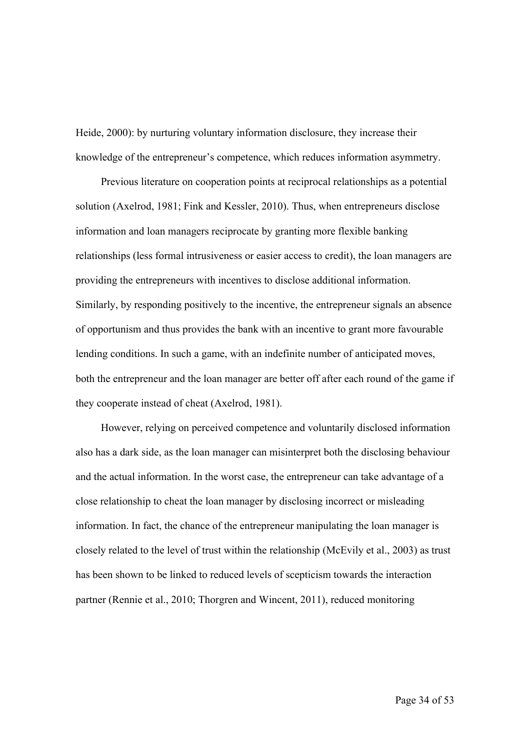Heide, 2000): by nurturing voluntary information disclosure, they increase their knowledge of the entrepreneur's competence, which reduces information asymmetry.

Previous literature on cooperation points at reciprocal relationships as a potential solution (Axelrod, 1981; Fink and Kessler, 2010). Thus, when entrepreneurs disclose information and loan managers reciprocate by granting more flexible banking relationships (less formal intrusiveness or easier access to credit), the loan managers are providing the entrepreneurs with incentives to disclose additional information. Similarly, by responding positively to the incentive, the entrepreneur signals an absence of opportunism and thus provides the bank with an incentive to grant more favourable lending conditions. In such a game, with an indefinite number of anticipated moves, both the entrepreneur and the loan manager are better off after each round of the game if they cooperate instead of cheat (Axelrod, 1981).

However, relying on perceived competence and voluntarily disclosed information also has a dark side, as the loan manager can misinterpret both the disclosing behaviour and the actual information. In the worst case, the entrepreneur can take advantage of a close relationship to cheat the loan manager by disclosing incorrect or misleading information. In fact, the chance of the entrepreneur manipulating the loan manager is closely related to the level of trust within the relationship (McEvily et al., 2003) as trust has been shown to be linked to reduced levels of scepticism towards the interaction partner (Rennie et al., 2010; Thorgren and Wincent, 2011), reduced monitoring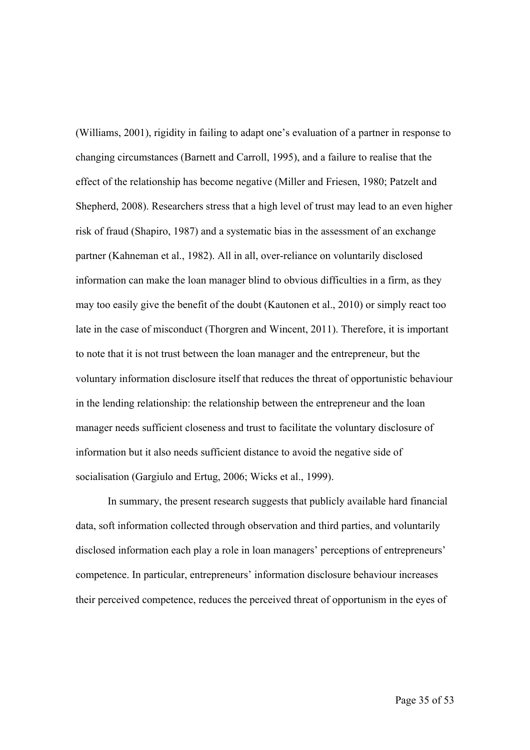(Williams, 2001), rigidity in failing to adapt one's evaluation of a partner in response to changing circumstances (Barnett and Carroll, 1995), and a failure to realise that the effect of the relationship has become negative (Miller and Friesen, 1980; Patzelt and Shepherd, 2008). Researchers stress that a high level of trust may lead to an even higher risk of fraud (Shapiro, 1987) and a systematic bias in the assessment of an exchange partner (Kahneman et al., 1982). All in all, over-reliance on voluntarily disclosed information can make the loan manager blind to obvious difficulties in a firm, as they may too easily give the benefit of the doubt (Kautonen et al., 2010) or simply react too late in the case of misconduct (Thorgren and Wincent, 2011). Therefore, it is important to note that it is not trust between the loan manager and the entrepreneur, but the voluntary information disclosure itself that reduces the threat of opportunistic behaviour in the lending relationship: the relationship between the entrepreneur and the loan manager needs sufficient closeness and trust to facilitate the voluntary disclosure of information but it also needs sufficient distance to avoid the negative side of socialisation (Gargiulo and Ertug, 2006; Wicks et al., 1999).

In summary, the present research suggests that publicly available hard financial data, soft information collected through observation and third parties, and voluntarily disclosed information each play a role in loan managers' perceptions of entrepreneurs' competence. In particular, entrepreneurs' information disclosure behaviour increases their perceived competence, reduces the perceived threat of opportunism in the eyes of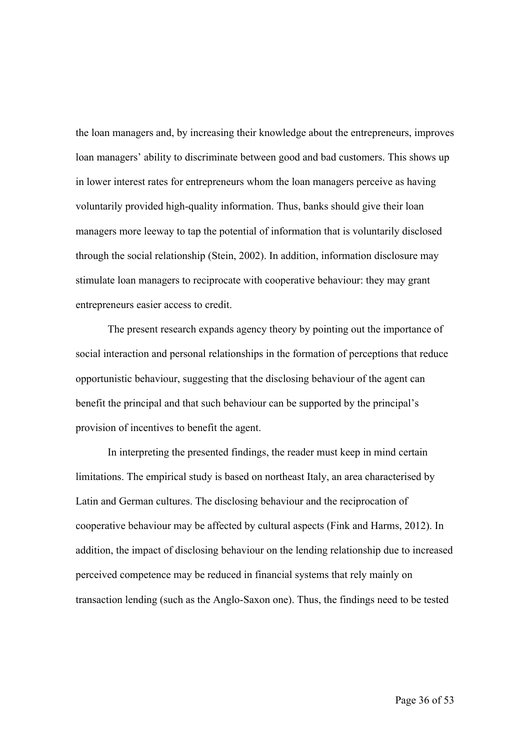the loan managers and, by increasing their knowledge about the entrepreneurs, improves loan managers' ability to discriminate between good and bad customers. This shows up in lower interest rates for entrepreneurs whom the loan managers perceive as having voluntarily provided high-quality information. Thus, banks should give their loan managers more leeway to tap the potential of information that is voluntarily disclosed through the social relationship (Stein, 2002). In addition, information disclosure may stimulate loan managers to reciprocate with cooperative behaviour: they may grant entrepreneurs easier access to credit.

The present research expands agency theory by pointing out the importance of social interaction and personal relationships in the formation of perceptions that reduce opportunistic behaviour, suggesting that the disclosing behaviour of the agent can benefit the principal and that such behaviour can be supported by the principal's provision of incentives to benefit the agent.

In interpreting the presented findings, the reader must keep in mind certain limitations. The empirical study is based on northeast Italy, an area characterised by Latin and German cultures. The disclosing behaviour and the reciprocation of cooperative behaviour may be affected by cultural aspects (Fink and Harms, 2012). In addition, the impact of disclosing behaviour on the lending relationship due to increased perceived competence may be reduced in financial systems that rely mainly on transaction lending (such as the Anglo-Saxon one). Thus, the findings need to be tested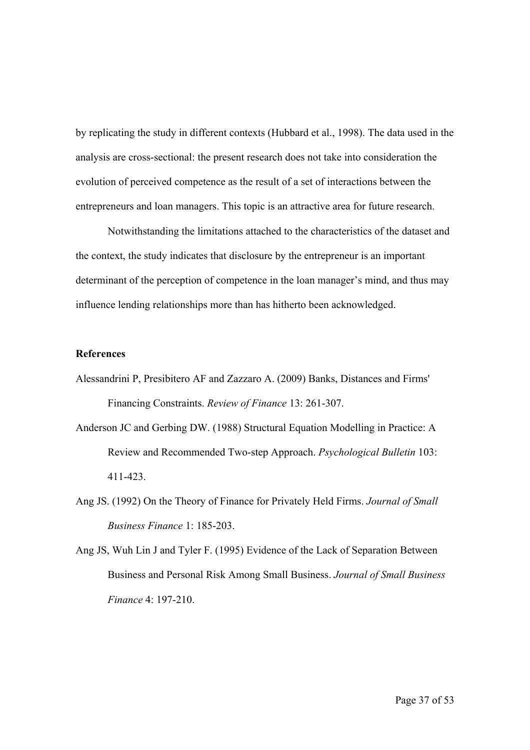by replicating the study in different contexts (Hubbard et al., 1998). The data used in the analysis are cross-sectional: the present research does not take into consideration the evolution of perceived competence as the result of a set of interactions between the entrepreneurs and loan managers. This topic is an attractive area for future research.

Notwithstanding the limitations attached to the characteristics of the dataset and the context, the study indicates that disclosure by the entrepreneur is an important determinant of the perception of competence in the loan manager's mind, and thus may influence lending relationships more than has hitherto been acknowledged.

### **References**

- Alessandrini P, Presibitero AF and Zazzaro A. (2009) Banks, Distances and Firms' Financing Constraints. *Review of Finance* 13: 261-307.
- Anderson JC and Gerbing DW. (1988) Structural Equation Modelling in Practice: A Review and Recommended Two-step Approach. *Psychological Bulletin* 103: 411-423.
- Ang JS. (1992) On the Theory of Finance for Privately Held Firms. *Journal of Small Business Finance* 1: 185-203.
- Ang JS, Wuh Lin J and Tyler F. (1995) Evidence of the Lack of Separation Between Business and Personal Risk Among Small Business. *Journal of Small Business Finance* 4: 197-210.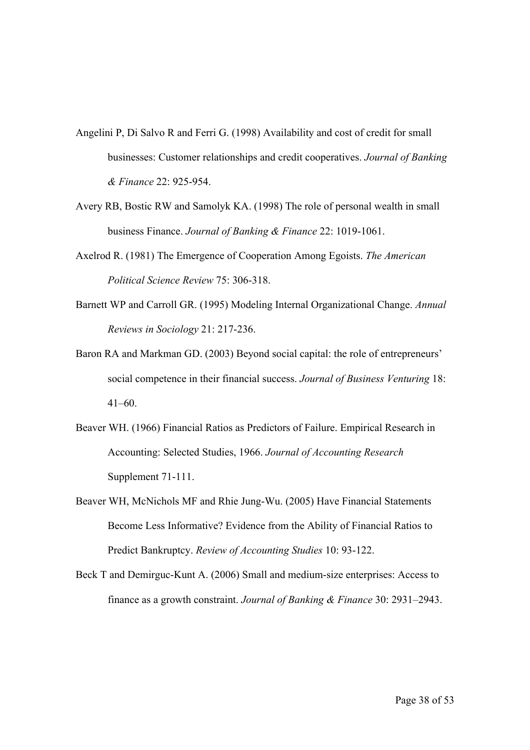- Angelini P, Di Salvo R and Ferri G. (1998) Availability and cost of credit for small businesses: Customer relationships and credit cooperatives. *Journal of Banking & Finance* 22: 925-954.
- Avery RB, Bostic RW and Samolyk KA. (1998) The role of personal wealth in small business Finance. *Journal of Banking & Finance* 22: 1019-1061.
- Axelrod R. (1981) The Emergence of Cooperation Among Egoists. *The American Political Science Review* 75: 306-318.
- Barnett WP and Carroll GR. (1995) Modeling Internal Organizational Change. *Annual Reviews in Sociology* 21: 217-236.
- Baron RA and Markman GD. (2003) Beyond social capital: the role of entrepreneurs' social competence in their financial success. *Journal of Business Venturing* 18:  $41-60$ .
- Beaver WH. (1966) Financial Ratios as Predictors of Failure. Empirical Research in Accounting: Selected Studies, 1966. *Journal of Accounting Research* Supplement 71-111.
- Beaver WH, McNichols MF and Rhie Jung-Wu. (2005) Have Financial Statements Become Less Informative? Evidence from the Ability of Financial Ratios to Predict Bankruptcy. *Review of Accounting Studies* 10: 93-122.
- Beck T and Demirguc-Kunt A. (2006) Small and medium-size enterprises: Access to finance as a growth constraint. *Journal of Banking & Finance* 30: 2931–2943.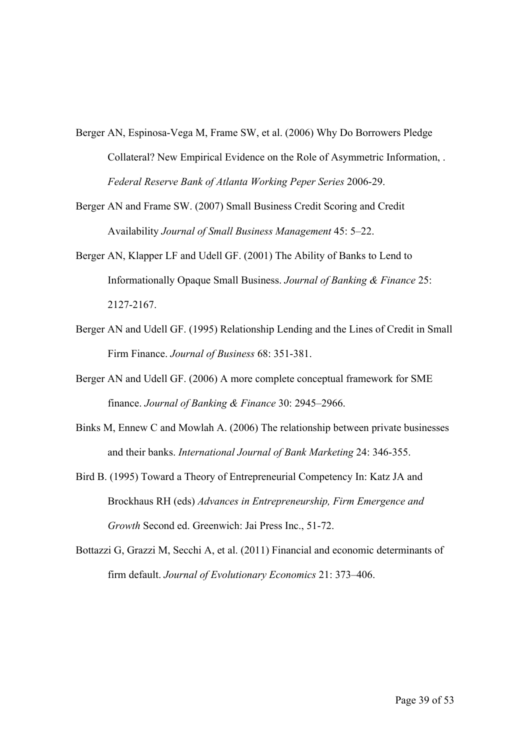- Berger AN, Espinosa-Vega M, Frame SW, et al. (2006) Why Do Borrowers Pledge Collateral? New Empirical Evidence on the Role of Asymmetric Information, . *Federal Reserve Bank of Atlanta Working Peper Series* 2006-29.
- Berger AN and Frame SW. (2007) Small Business Credit Scoring and Credit Availability *Journal of Small Business Management* 45: 5–22.
- Berger AN, Klapper LF and Udell GF. (2001) The Ability of Banks to Lend to Informationally Opaque Small Business. *Journal of Banking & Finance* 25: 2127-2167.
- Berger AN and Udell GF. (1995) Relationship Lending and the Lines of Credit in Small Firm Finance. *Journal of Business* 68: 351-381.
- Berger AN and Udell GF. (2006) A more complete conceptual framework for SME finance. *Journal of Banking & Finance* 30: 2945–2966.
- Binks M, Ennew C and Mowlah A. (2006) The relationship between private businesses and their banks. *International Journal of Bank Marketing* 24: 346-355.
- Bird B. (1995) Toward a Theory of Entrepreneurial Competency In: Katz JA and Brockhaus RH (eds) *Advances in Entrepreneurship, Firm Emergence and Growth* Second ed. Greenwich: Jai Press Inc., 51-72.
- Bottazzi G, Grazzi M, Secchi A, et al. (2011) Financial and economic determinants of firm default. *Journal of Evolutionary Economics* 21: 373–406.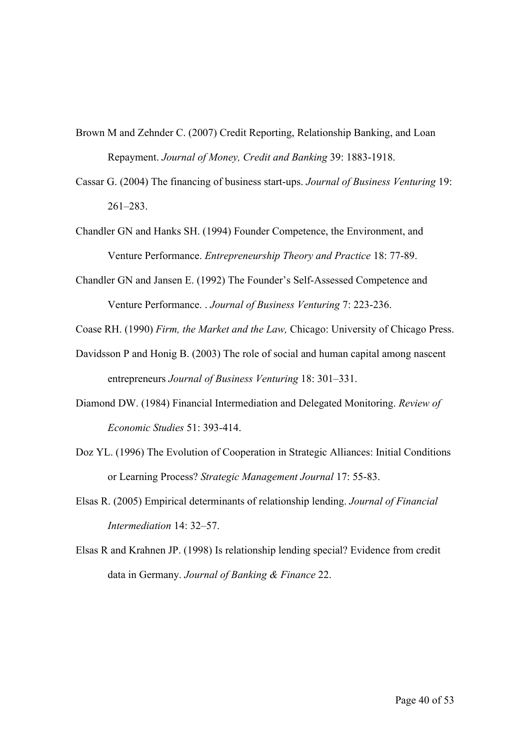- Brown M and Zehnder C. (2007) Credit Reporting, Relationship Banking, and Loan Repayment. *Journal of Money, Credit and Banking* 39: 1883-1918.
- Cassar G. (2004) The financing of business start-ups. *Journal of Business Venturing* 19: 261–283.
- Chandler GN and Hanks SH. (1994) Founder Competence, the Environment, and Venture Performance. *Entrepreneurship Theory and Practice* 18: 77-89.
- Chandler GN and Jansen E. (1992) The Founder's Self-Assessed Competence and Venture Performance. . *Journal of Business Venturing* 7: 223-236.

Coase RH. (1990) *Firm, the Market and the Law,* Chicago: University of Chicago Press.

- Davidsson P and Honig B. (2003) The role of social and human capital among nascent entrepreneurs *Journal of Business Venturing* 18: 301–331.
- Diamond DW. (1984) Financial Intermediation and Delegated Monitoring. *Review of Economic Studies* 51: 393-414.
- Doz YL. (1996) The Evolution of Cooperation in Strategic Alliances: Initial Conditions or Learning Process? *Strategic Management Journal* 17: 55-83.
- Elsas R. (2005) Empirical determinants of relationship lending. *Journal of Financial Intermediation* 14: 32–57.
- Elsas R and Krahnen JP. (1998) Is relationship lending special? Evidence from credit data in Germany. *Journal of Banking & Finance* 22.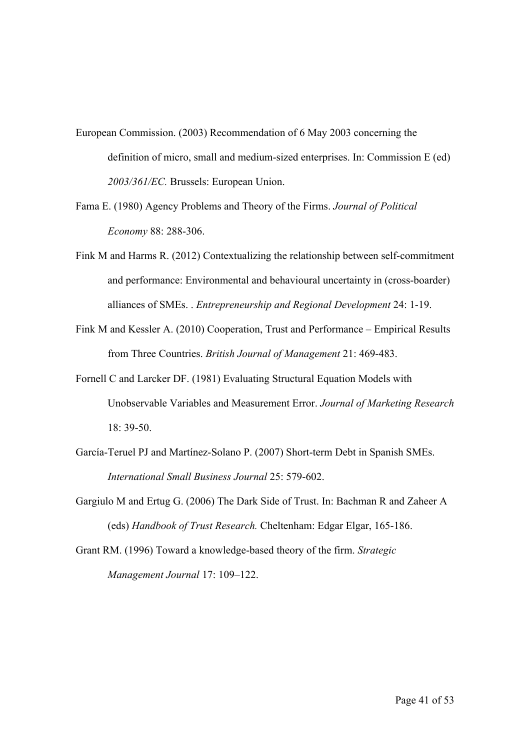- European Commission. (2003) Recommendation of 6 May 2003 concerning the definition of micro, small and medium-sized enterprises. In: Commission E (ed) *2003/361/EC.* Brussels: European Union.
- Fama E. (1980) Agency Problems and Theory of the Firms. *Journal of Political Economy* 88: 288-306.
- Fink M and Harms R. (2012) Contextualizing the relationship between self-commitment and performance: Environmental and behavioural uncertainty in (cross-boarder) alliances of SMEs. . *Entrepreneurship and Regional Development* 24: 1-19.
- Fink M and Kessler A. (2010) Cooperation, Trust and Performance Empirical Results from Three Countries. *British Journal of Management* 21: 469-483.
- Fornell C and Larcker DF. (1981) Evaluating Structural Equation Models with Unobservable Variables and Measurement Error. *Journal of Marketing Research* 18: 39-50.
- García-Teruel PJ and Martínez-Solano P. (2007) Short-term Debt in Spanish SMEs. *International Small Business Journal* 25: 579-602.
- Gargiulo M and Ertug G. (2006) The Dark Side of Trust. In: Bachman R and Zaheer A (eds) *Handbook of Trust Research.* Cheltenham: Edgar Elgar, 165-186.
- Grant RM. (1996) Toward a knowledge-based theory of the firm. *Strategic Management Journal* 17: 109–122.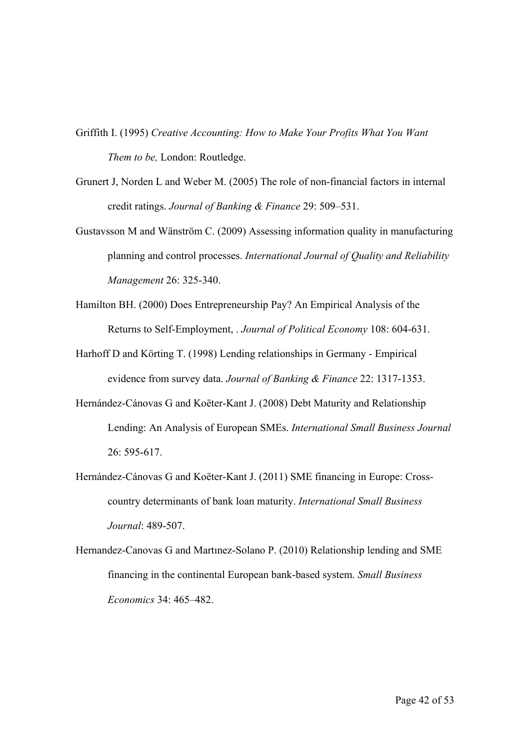- Griffith I. (1995) *Creative Accounting: How to Make Your Profits What You Want Them to be,* London: Routledge.
- Grunert J, Norden L and Weber M. (2005) The role of non-financial factors in internal credit ratings. *Journal of Banking & Finance* 29: 509–531.
- Gustavsson M and Wänström C. (2009) Assessing information quality in manufacturing planning and control processes. *International Journal of Quality and Reliability Management* 26: 325-340.
- Hamilton BH. (2000) Does Entrepreneurship Pay? An Empirical Analysis of the Returns to Self-Employment, . *Journal of Political Economy* 108: 604-631.
- Harhoff D and Körting T. (1998) Lending relationships in Germany Empirical evidence from survey data. *Journal of Banking & Finance* 22: 1317-1353.
- Hernández-Cánovas G and Koëter-Kant J. (2008) Debt Maturity and Relationship Lending: An Analysis of European SMEs. *International Small Business Journal* 26: 595-617.
- Hernández-Cánovas G and Koëter-Kant J. (2011) SME financing in Europe: Crosscountry determinants of bank loan maturity. *International Small Business Journal*: 489-507.
- Hernandez-Canovas G and Martınez-Solano P. (2010) Relationship lending and SME financing in the continental European bank-based system. *Small Business Economics* 34: 465–482.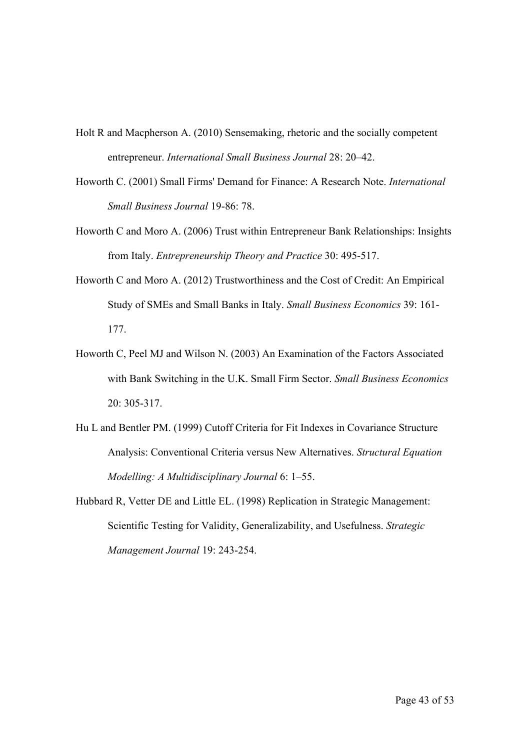- Holt R and Macpherson A. (2010) Sensemaking, rhetoric and the socially competent entrepreneur. *International Small Business Journal* 28: 20–42.
- Howorth C. (2001) Small Firms' Demand for Finance: A Research Note. *International Small Business Journal* 19-86: 78.
- Howorth C and Moro A. (2006) Trust within Entrepreneur Bank Relationships: Insights from Italy. *Entrepreneurship Theory and Practice* 30: 495-517.
- Howorth C and Moro A. (2012) Trustworthiness and the Cost of Credit: An Empirical Study of SMEs and Small Banks in Italy. *Small Business Economics* 39: 161- 177.
- Howorth C, Peel MJ and Wilson N. (2003) An Examination of the Factors Associated with Bank Switching in the U.K. Small Firm Sector. *Small Business Economics* 20: 305-317.
- Hu L and Bentler PM. (1999) Cutoff Criteria for Fit Indexes in Covariance Structure Analysis: Conventional Criteria versus New Alternatives. *Structural Equation Modelling: A Multidisciplinary Journal* 6: 1–55.
- Hubbard R, Vetter DE and Little EL. (1998) Replication in Strategic Management: Scientific Testing for Validity, Generalizability, and Usefulness. *Strategic Management Journal* 19: 243-254.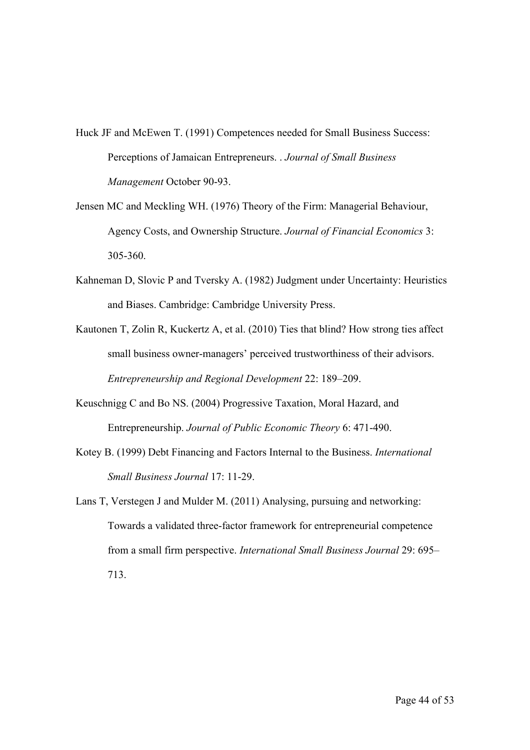Huck JF and McEwen T. (1991) Competences needed for Small Business Success: Perceptions of Jamaican Entrepreneurs. . *Journal of Small Business Management* October 90-93.

- Jensen MC and Meckling WH. (1976) Theory of the Firm: Managerial Behaviour, Agency Costs, and Ownership Structure. *Journal of Financial Economics* 3: 305-360.
- Kahneman D, Slovic P and Tversky A. (1982) Judgment under Uncertainty: Heuristics and Biases. Cambridge: Cambridge University Press.
- Kautonen T, Zolin R, Kuckertz A, et al. (2010) Ties that blind? How strong ties affect small business owner-managers' perceived trustworthiness of their advisors. *Entrepreneurship and Regional Development* 22: 189–209.
- Keuschnigg C and Bo NS. (2004) Progressive Taxation, Moral Hazard, and Entrepreneurship. *Journal of Public Economic Theory* 6: 471-490.
- Kotey B. (1999) Debt Financing and Factors Internal to the Business. *International Small Business Journal* 17: 11-29.
- Lans T, Verstegen J and Mulder M. (2011) Analysing, pursuing and networking: Towards a validated three-factor framework for entrepreneurial competence from a small firm perspective. *International Small Business Journal* 29: 695– 713.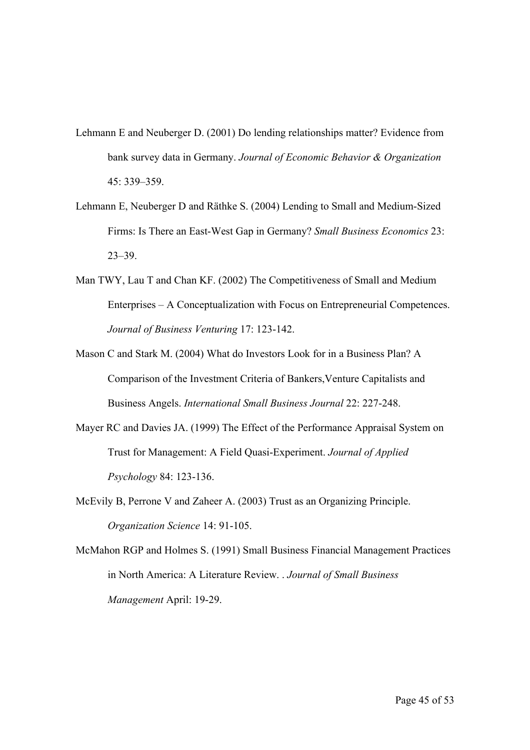- Lehmann E and Neuberger D. (2001) Do lending relationships matter? Evidence from bank survey data in Germany. *Journal of Economic Behavior & Organization* 45: 339–359.
- Lehmann E, Neuberger D and Räthke S. (2004) Lending to Small and Medium-Sized Firms: Is There an East-West Gap in Germany? *Small Business Economics* 23: 23–39.
- Man TWY, Lau T and Chan KF. (2002) The Competitiveness of Small and Medium Enterprises – A Conceptualization with Focus on Entrepreneurial Competences. *Journal of Business Venturing* 17: 123-142.
- Mason C and Stark M. (2004) What do Investors Look for in a Business Plan? A Comparison of the Investment Criteria of Bankers,Venture Capitalists and Business Angels. *International Small Business Journal* 22: 227-248.
- Mayer RC and Davies JA. (1999) The Effect of the Performance Appraisal System on Trust for Management: A Field Quasi-Experiment. *Journal of Applied Psychology* 84: 123-136.
- McEvily B, Perrone V and Zaheer A. (2003) Trust as an Organizing Principle. *Organization Science* 14: 91-105.
- McMahon RGP and Holmes S. (1991) Small Business Financial Management Practices in North America: A Literature Review. . *Journal of Small Business Management* April: 19-29.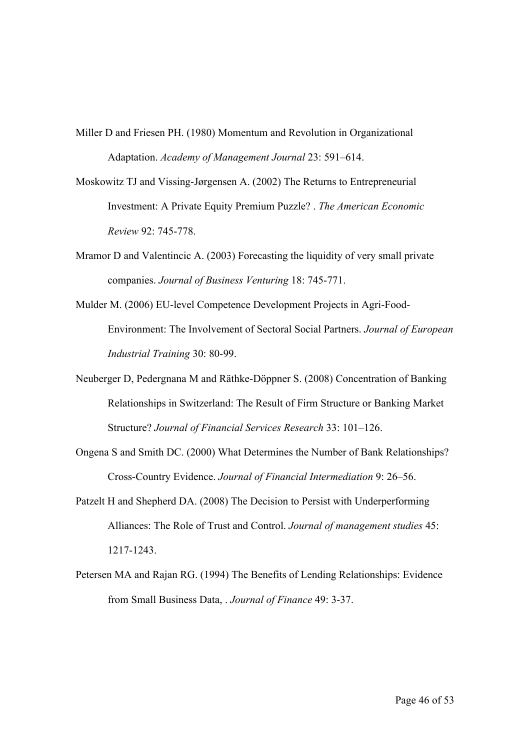- Miller D and Friesen PH. (1980) Momentum and Revolution in Organizational Adaptation. *Academy of Management Journal* 23: 591–614.
- Moskowitz TJ and Vissing-Jørgensen A. (2002) The Returns to Entrepreneurial Investment: A Private Equity Premium Puzzle? . *The American Economic Review* 92: 745-778.
- Mramor D and Valentincic A. (2003) Forecasting the liquidity of very small private companies. *Journal of Business Venturing* 18: 745-771.
- Mulder M. (2006) EU-level Competence Development Projects in Agri-Food-Environment: The Involvement of Sectoral Social Partners. *Journal of European Industrial Training* 30: 80-99.
- Neuberger D, Pedergnana M and Räthke-Döppner S. (2008) Concentration of Banking Relationships in Switzerland: The Result of Firm Structure or Banking Market Structure? *Journal of Financial Services Research* 33: 101–126.
- Ongena S and Smith DC. (2000) What Determines the Number of Bank Relationships? Cross-Country Evidence. *Journal of Financial Intermediation* 9: 26–56.
- Patzelt H and Shepherd DA. (2008) The Decision to Persist with Underperforming Alliances: The Role of Trust and Control. *Journal of management studies* 45: 1217-1243.
- Petersen MA and Rajan RG. (1994) The Benefits of Lending Relationships: Evidence from Small Business Data, . *Journal of Finance* 49: 3-37.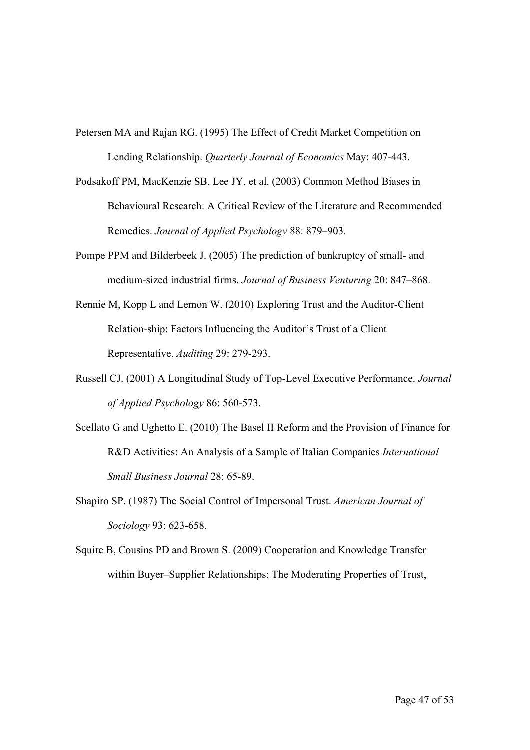Petersen MA and Rajan RG. (1995) The Effect of Credit Market Competition on Lending Relationship. *Quarterly Journal of Economics* May: 407-443.

- Podsakoff PM, MacKenzie SB, Lee JY, et al. (2003) Common Method Biases in Behavioural Research: A Critical Review of the Literature and Recommended Remedies. *Journal of Applied Psychology* 88: 879–903.
- Pompe PPM and Bilderbeek J. (2005) The prediction of bankruptcy of small- and medium-sized industrial firms. *Journal of Business Venturing* 20: 847–868.
- Rennie M, Kopp L and Lemon W. (2010) Exploring Trust and the Auditor-Client Relation-ship: Factors Influencing the Auditor's Trust of a Client Representative. *Auditing* 29: 279-293.
- Russell CJ. (2001) A Longitudinal Study of Top-Level Executive Performance. *Journal of Applied Psychology* 86: 560-573.
- Scellato G and Ughetto E. (2010) The Basel II Reform and the Provision of Finance for R&D Activities: An Analysis of a Sample of Italian Companies *International Small Business Journal* 28: 65-89.
- Shapiro SP. (1987) The Social Control of Impersonal Trust. *American Journal of Sociology* 93: 623-658.
- Squire B, Cousins PD and Brown S. (2009) Cooperation and Knowledge Transfer within Buyer–Supplier Relationships: The Moderating Properties of Trust,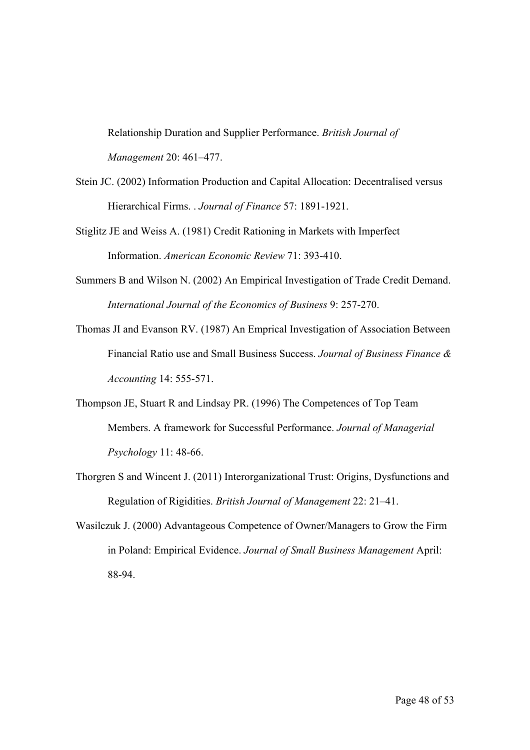Relationship Duration and Supplier Performance. *British Journal of Management* 20: 461–477.

- Stein JC. (2002) Information Production and Capital Allocation: Decentralised versus Hierarchical Firms. . *Journal of Finance* 57: 1891-1921.
- Stiglitz JE and Weiss A. (1981) Credit Rationing in Markets with Imperfect Information. *American Economic Review* 71: 393-410.
- Summers B and Wilson N. (2002) An Empirical Investigation of Trade Credit Demand. *International Journal of the Economics of Business* 9: 257-270.
- Thomas JI and Evanson RV. (1987) An Emprical Investigation of Association Between Financial Ratio use and Small Business Success. *Journal of Business Finance & Accounting* 14: 555-571.
- Thompson JE, Stuart R and Lindsay PR. (1996) The Competences of Top Team Members. A framework for Successful Performance. *Journal of Managerial Psychology* 11: 48-66.
- Thorgren S and Wincent J. (2011) Interorganizational Trust: Origins, Dysfunctions and Regulation of Rigidities. *British Journal of Management* 22: 21–41.
- Wasilczuk J. (2000) Advantageous Competence of Owner/Managers to Grow the Firm in Poland: Empirical Evidence. *Journal of Small Business Management* April: 88-94.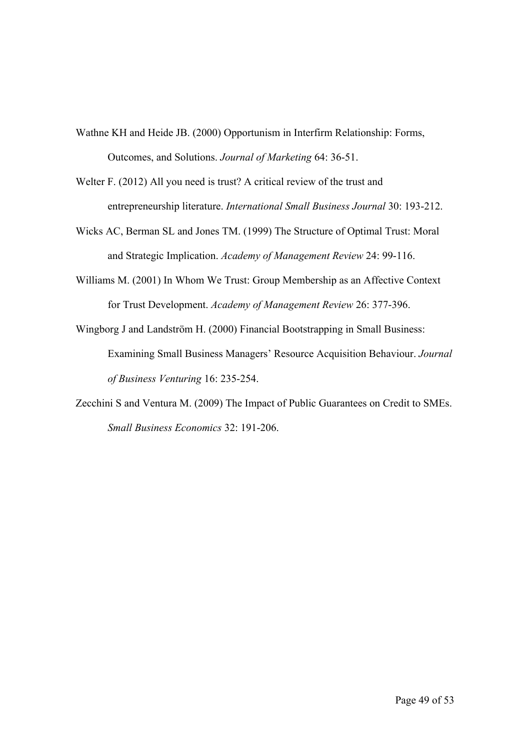- Wathne KH and Heide JB. (2000) Opportunism in Interfirm Relationship: Forms, Outcomes, and Solutions. *Journal of Marketing* 64: 36-51.
- Welter F. (2012) All you need is trust? A critical review of the trust and entrepreneurship literature. *International Small Business Journal* 30: 193-212.
- Wicks AC, Berman SL and Jones TM. (1999) The Structure of Optimal Trust: Moral and Strategic Implication. *Academy of Management Review* 24: 99-116.
- Williams M. (2001) In Whom We Trust: Group Membership as an Affective Context for Trust Development. *Academy of Management Review* 26: 377-396.
- Wingborg J and Landström H. (2000) Financial Bootstrapping in Small Business: Examining Small Business Managers' Resource Acquisition Behaviour. *Journal of Business Venturing* 16: 235-254.
- Zecchini S and Ventura M. (2009) The Impact of Public Guarantees on Credit to SMEs. *Small Business Economics* 32: 191-206.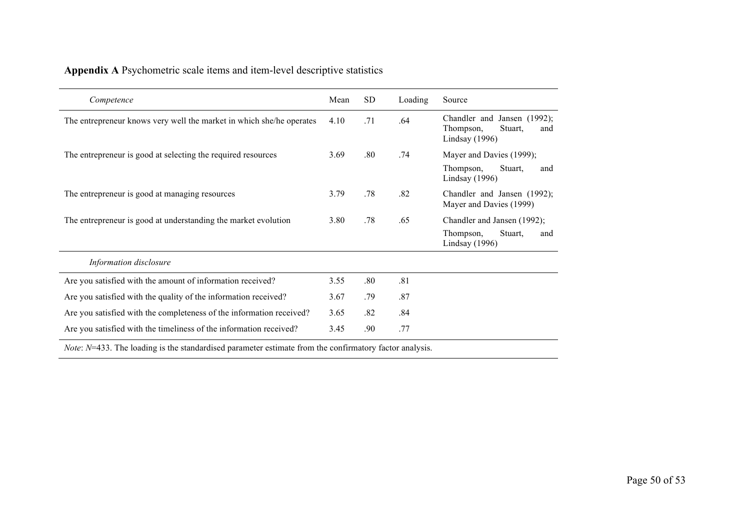|  |  |  |  |  | Appendix A Psychometric scale items and item-level descriptive statistics |
|--|--|--|--|--|---------------------------------------------------------------------------|
|  |  |  |  |  |                                                                           |

| Competence                                                                                                                                                                                                                                   | Mean | SD. | Loading | Source                                                                         |
|----------------------------------------------------------------------------------------------------------------------------------------------------------------------------------------------------------------------------------------------|------|-----|---------|--------------------------------------------------------------------------------|
| The entrepreneur knows very well the market in which she/he operates                                                                                                                                                                         | 4.10 | .71 | .64     | Chandler and Jansen (1992);<br>Thompson,<br>Stuart.<br>and<br>Lindsay $(1996)$ |
| The entrepreneur is good at selecting the required resources                                                                                                                                                                                 | 3.69 | .80 | .74     | Mayer and Davies (1999);<br>Thompson,<br>Stuart,<br>and                        |
| The entrepreneur is good at managing resources                                                                                                                                                                                               | 3.79 | .78 | .82     | Lindsay $(1996)$<br>Chandler and Jansen (1992);                                |
|                                                                                                                                                                                                                                              |      |     |         | Mayer and Davies (1999)                                                        |
| The entrepreneur is good at understanding the market evolution                                                                                                                                                                               | 3.80 | .78 | .65     | Chandler and Jansen (1992);                                                    |
|                                                                                                                                                                                                                                              |      |     |         | Thompson,<br>Stuart,<br>and<br>Lindsay (1996)                                  |
| Information disclosure                                                                                                                                                                                                                       |      |     |         |                                                                                |
| Are you satisfied with the amount of information received?                                                                                                                                                                                   | 3.55 | .80 | .81     |                                                                                |
| Are you satisfied with the quality of the information received?                                                                                                                                                                              | 3.67 | .79 | .87     |                                                                                |
| Are you satisfied with the completeness of the information received?                                                                                                                                                                         | 3.65 | .82 | .84     |                                                                                |
| Are you satisfied with the timeliness of the information received?                                                                                                                                                                           | 3.45 | .90 | .77     |                                                                                |
| $\mathcal{M}$ and $\mathcal{M}$ and $\mathcal{M}$ in the contract of the contract of the contract of the contract of the contract of the contract of the contract of the contract of the contract of the contract of the contract of the con |      |     |         |                                                                                |

*Note: N*=433. The loading is the standardised parameter estimate from the confirmatory factor analysis.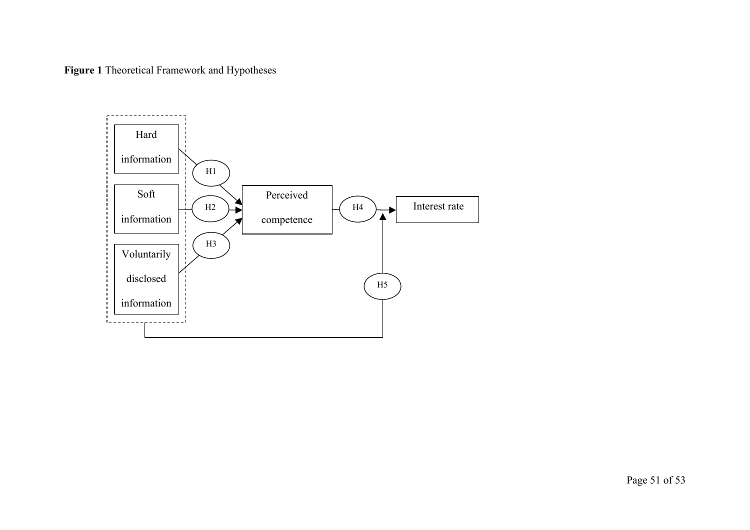**Figure 1** Theoretical Framework and Hypotheses

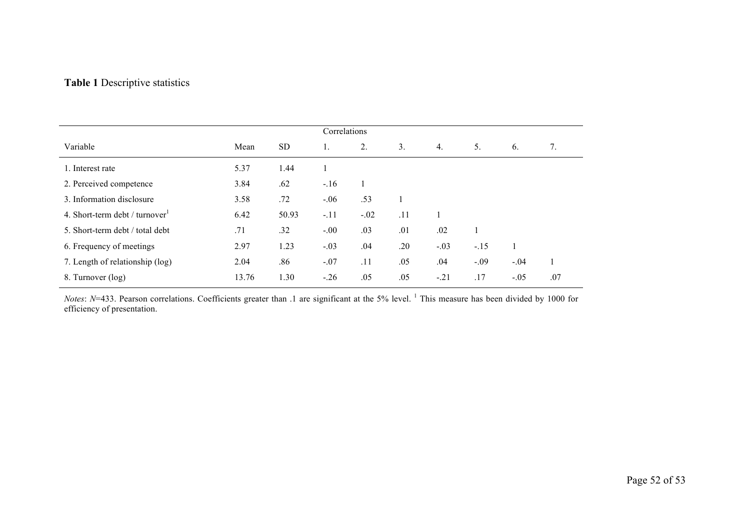# **Table 1** Descriptive statistics

|                                 |       |           | Correlations |        |     |        |        |        |     |
|---------------------------------|-------|-----------|--------------|--------|-----|--------|--------|--------|-----|
| Variable                        | Mean  | <b>SD</b> |              | 2.     | 3.  | 4.     | 5.     | 6.     | 7.  |
| 1. Interest rate                | 5.37  | 1.44      |              |        |     |        |        |        |     |
| 2. Perceived competence         | 3.84  | .62       | $-.16$       |        |     |        |        |        |     |
| 3. Information disclosure       | 3.58  | .72       | $-.06$       | .53    |     |        |        |        |     |
| 4. Short-term debt / turnover   | 6.42  | 50.93     | $-.11$       | $-.02$ | .11 |        |        |        |     |
| 5. Short-term debt / total debt | .71   | .32       | $-.00$       | .03    | .01 | .02    | 1      |        |     |
| 6. Frequency of meetings        | 2.97  | 1.23      | $-.03$       | .04    | .20 | $-.03$ | $-.15$ |        |     |
| 7. Length of relationship (log) | 2.04  | .86       | $-.07$       | .11    | .05 | .04    | $-.09$ | $-.04$ |     |
| 8. Turnover (log)               | 13.76 | 1.30      | $-.26$       | .05    | .05 | $-21$  | .17    | $-.05$ | .07 |

*Notes*: *N*=433. Pearson correlations. Coefficients greater than .1 are significant at the 5% level. <sup>1</sup> This measure has been divided by 1000 for efficiency of presentation.